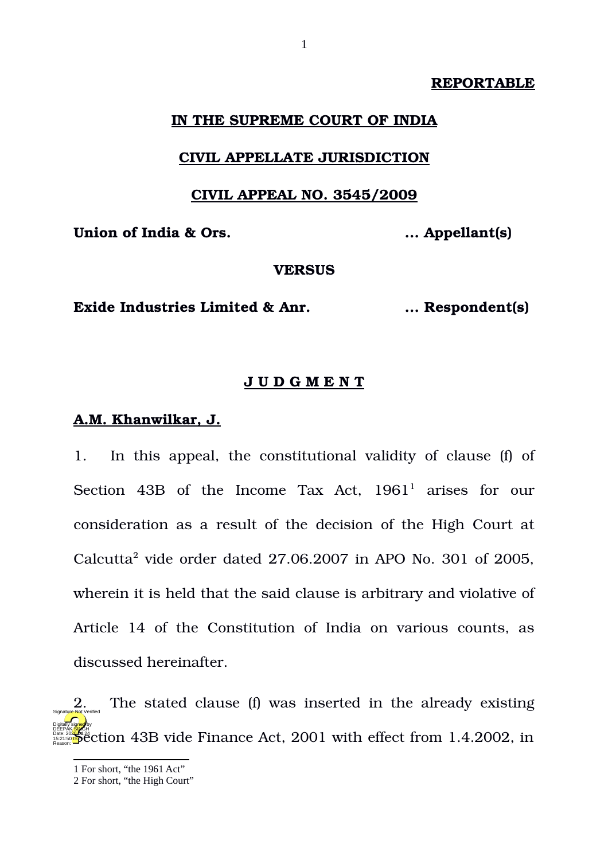#### **REPORTABLE**

#### **IN THE SUPREME COURT OF INDIA**

#### **CIVIL APPELLATE JURISDICTION**

#### **CIVIL APPEAL NO. 3545/2009**

**Union of India & Ors. ... Appellant(s)**

#### **VERSUS**

### **Exide Industries Limited & Anr. ... Respondent(s)**

#### **J U D G M E N T**

#### **A.M. Khanwilkar, J.**

1. In this appeal, the constitutional validity of clause (f) of Section 43B of the Income Tax Act, [1](#page-0-0)961<sup>1</sup> arises for our consideration as a result of the decision of the High Court at Calcutta<sup>[2](#page-0-1)</sup> vide order dated  $27.06.2007$  in APO No. 301 of 2005, wherein it is held that the said clause is arbitrary and violative of Article 14 of the Constitution of India on various counts, as discussed hereinafter.

2. The stated clause (f) was inserted in the already existing **Date: 202<mark>8</mark> Section 43B vide Finance Act, 2001 with effect from 1.4.2002, in** Digitally signed by DEEPAK<mark>/SIN</mark>GH 15:21:50 IST Reason: Signature Not Verified

<span id="page-0-0"></span><sup>1</sup> For short, "the 1961 Act"

<span id="page-0-1"></span><sup>2</sup> For short, "the High Court"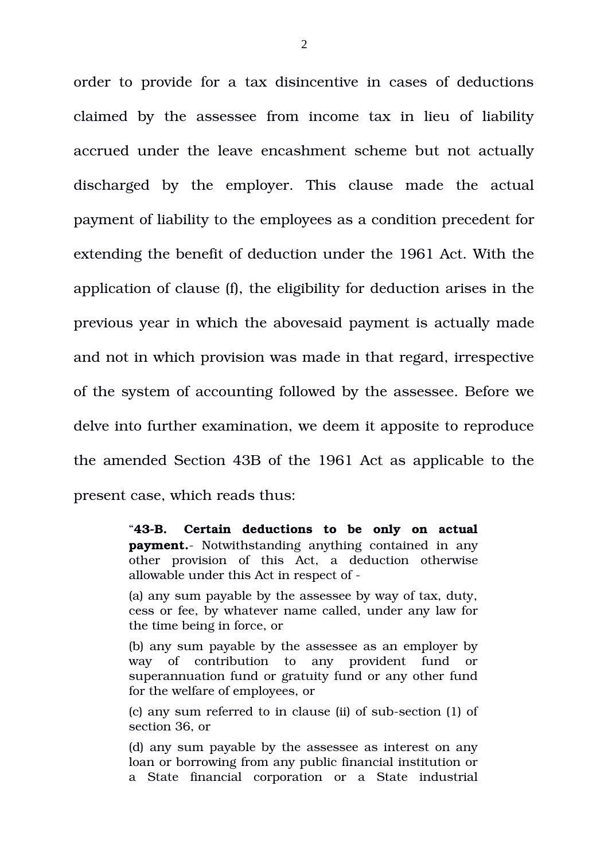order to provide for a tax disincentive in cases of deductions claimed by the assessee from income tax in lieu of liability accrued under the leave encashment scheme but not actually discharged by the employer. This clause made the actual payment of liability to the employees as a condition precedent for extending the benefit of deduction under the 1961 Act. With the application of clause (f), the eligibility for deduction arises in the previous year in which the abovesaid payment is actually made and not in which provision was made in that regard, irrespective of the system of accounting followed by the assessee. Before we delve into further examination, we deem it apposite to reproduce the amended Section 43B of the 1961 Act as applicable to the present case, which reads thus:

> "**43B. Certain deductions to be only on actual payment.** Notwithstanding anything contained in any other provision of this Act, a deduction otherwise allowable under this Act in respect of

> (a) any sum payable by the assessee by way of tax, duty, cess or fee, by whatever name called, under any law for the time being in force, or

> (b) any sum payable by the assessee as an employer by way of contribution to any provident fund or superannuation fund or gratuity fund or any other fund for the welfare of employees, or

> (c) any sum referred to in clause (ii) of sub-section (1) of section 36, or

> (d) any sum payable by the assessee as interest on any loan or borrowing from any public financial institution or a State financial corporation or a State industrial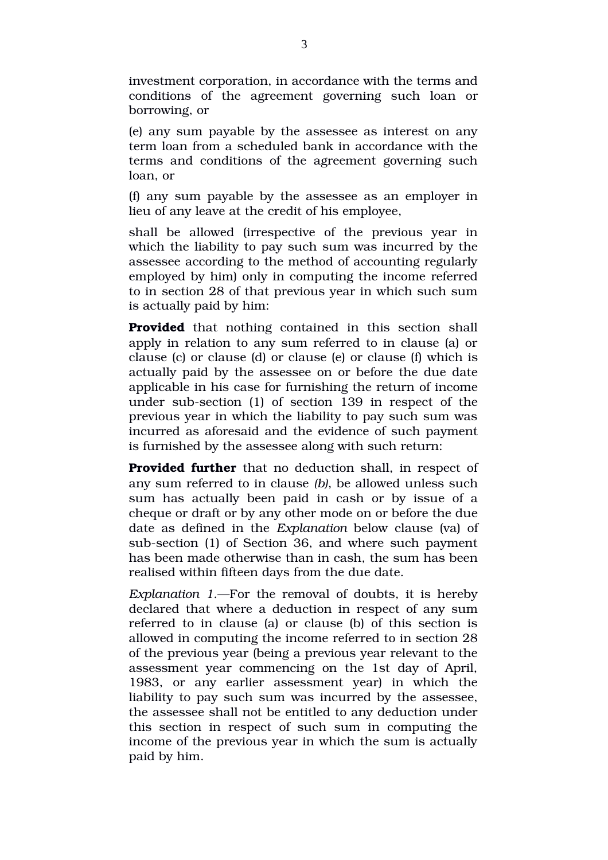investment corporation, in accordance with the terms and conditions of the agreement governing such loan or borrowing, or

(e) any sum payable by the assessee as interest on any term loan from a scheduled bank in accordance with the terms and conditions of the agreement governing such loan, or

(f) any sum payable by the assessee as an employer in lieu of any leave at the credit of his employee,

shall be allowed (irrespective of the previous year in which the liability to pay such sum was incurred by the assessee according to the method of accounting regularly employed by him) only in computing the income referred to in section 28 of that previous year in which such sum is actually paid by him:

**Provided** that nothing contained in this section shall apply in relation to any sum referred to in clause (a) or clause (c) or clause (d) or clause (e) or clause (f) which is actually paid by the assessee on or before the due date applicable in his case for furnishing the return of income under sub-section (1) of section 139 in respect of the previous year in which the liability to pay such sum was incurred as aforesaid and the evidence of such payment is furnished by the assessee along with such return:

**Provided further** that no deduction shall, in respect of any sum referred to in clause *(b)*, be allowed unless such sum has actually been paid in cash or by issue of a cheque or draft or by any other mode on or before the due date as defined in the *Explanation* below clause (va) of sub-section (1) of Section 36, and where such payment has been made otherwise than in cash, the sum has been realised within fifteen days from the due date.

*Explanation 1*.—For the removal of doubts, it is hereby declared that where a deduction in respect of any sum referred to in clause (a) or clause (b) of this section is allowed in computing the income referred to in section 28 of the previous year (being a previous year relevant to the assessment year commencing on the 1st day of April, 1983, or any earlier assessment year) in which the liability to pay such sum was incurred by the assessee, the assessee shall not be entitled to any deduction under this section in respect of such sum in computing the income of the previous year in which the sum is actually paid by him.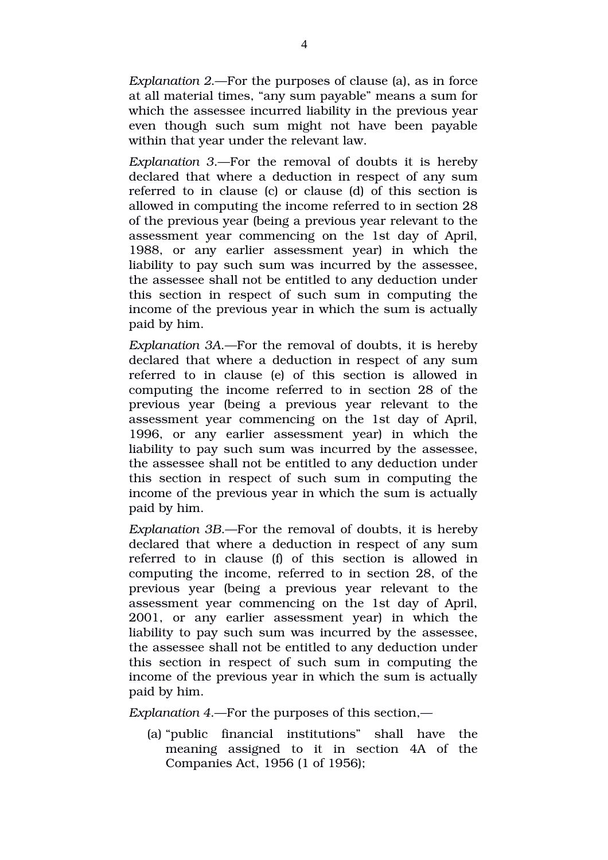*Explanation 2*.—For the purposes of clause (a), as in force at all material times, "any sum payable" means a sum for which the assessee incurred liability in the previous year even though such sum might not have been payable within that year under the relevant law.

*Explanation 3*.—For the removal of doubts it is hereby declared that where a deduction in respect of any sum referred to in clause (c) or clause (d) of this section is allowed in computing the income referred to in section 28 of the previous year (being a previous year relevant to the assessment year commencing on the 1st day of April, 1988, or any earlier assessment year) in which the liability to pay such sum was incurred by the assessee, the assessee shall not be entitled to any deduction under this section in respect of such sum in computing the income of the previous year in which the sum is actually paid by him.

*Explanation 3A*.—For the removal of doubts, it is hereby declared that where a deduction in respect of any sum referred to in clause (e) of this section is allowed in computing the income referred to in section 28 of the previous year (being a previous year relevant to the assessment year commencing on the 1st day of April, 1996, or any earlier assessment year) in which the liability to pay such sum was incurred by the assessee, the assessee shall not be entitled to any deduction under this section in respect of such sum in computing the income of the previous year in which the sum is actually paid by him.

*Explanation 3B*.—For the removal of doubts, it is hereby declared that where a deduction in respect of any sum referred to in clause (f) of this section is allowed in computing the income, referred to in section 28, of the previous year (being a previous year relevant to the assessment year commencing on the 1st day of April, 2001, or any earlier assessment year) in which the liability to pay such sum was incurred by the assessee, the assessee shall not be entitled to any deduction under this section in respect of such sum in computing the income of the previous year in which the sum is actually paid by him.

*Explanation 4*.—For the purposes of this section,—

(a) "public financial institutions" shall have the meaning assigned to it in section 4A of the Companies Act, 1956 (1 of 1956);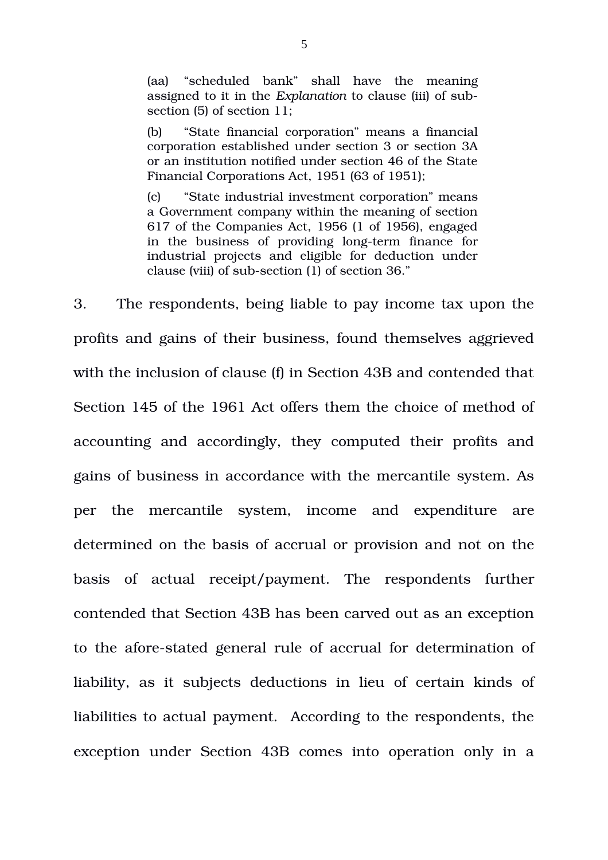(aa) "scheduled bank" shall have the meaning assigned to it in the *Explanation* to clause (iii) of subsection (5) of section 11;

(b) "State financial corporation" means a financial corporation established under section 3 or section 3A or an institution notified under section 46 of the State Financial Corporations Act, 1951 (63 of 1951);

(c) "State industrial investment corporation" means a Government company within the meaning of section 617 of the Companies Act, 1956 (1 of 1956), engaged in the business of providing long-term finance for industrial projects and eligible for deduction under clause (viii) of sub-section (1) of section 36."

3. The respondents, being liable to pay income tax upon the profits and gains of their business, found themselves aggrieved with the inclusion of clause (f) in Section 43B and contended that Section 145 of the 1961 Act offers them the choice of method of accounting and accordingly, they computed their profits and gains of business in accordance with the mercantile system. As per the mercantile system, income and expenditure are determined on the basis of accrual or provision and not on the basis of actual receipt/payment. The respondents further contended that Section 43B has been carved out as an exception to the afore-stated general rule of accrual for determination of liability, as it subjects deductions in lieu of certain kinds of liabilities to actual payment. According to the respondents, the exception under Section 43B comes into operation only in a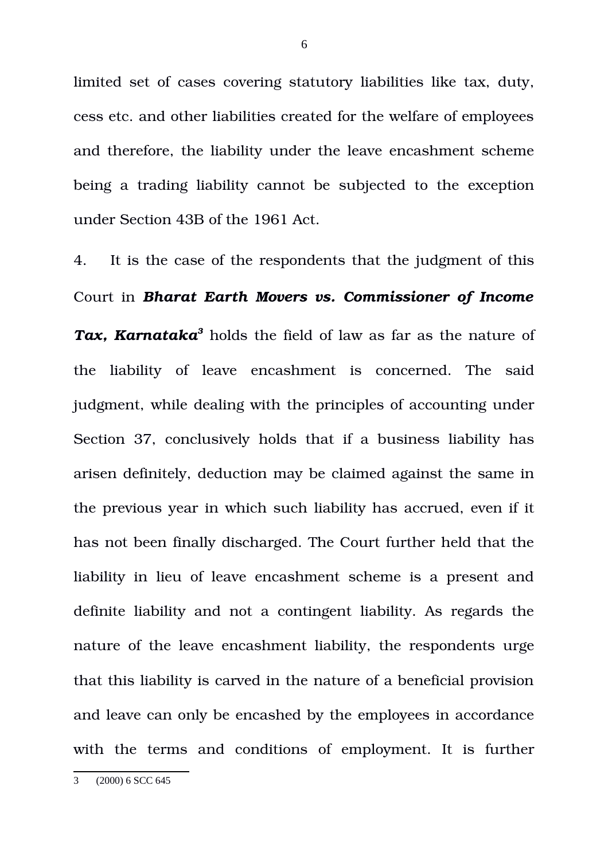limited set of cases covering statutory liabilities like tax, duty, cess etc. and other liabilities created for the welfare of employees and therefore, the liability under the leave encashment scheme being a trading liability cannot be subjected to the exception under Section 43B of the 1961 Act.

<span id="page-5-0"></span>4. It is the case of the respondents that the judgment of this Court in *Bharat Earth Movers vs. Commissioner of Income Tax, Karnataka[3](#page-5-0)* holds the field of law as far as the nature of the liability of leave encashment is concerned. The said judgment, while dealing with the principles of accounting under Section 37, conclusively holds that if a business liability has arisen definitely, deduction may be claimed against the same in the previous year in which such liability has accrued, even if it has not been finally discharged. The Court further held that the liability in lieu of leave encashment scheme is a present and definite liability and not a contingent liability. As regards the nature of the leave encashment liability, the respondents urge that this liability is carved in the nature of a beneficial provision and leave can only be encashed by the employees in accordance with the terms and conditions of employment. It is further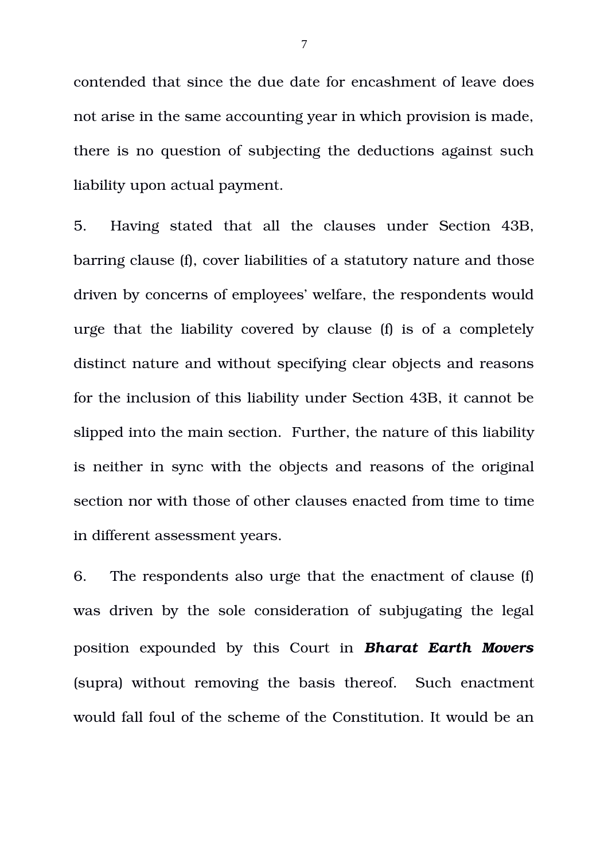contended that since the due date for encashment of leave does not arise in the same accounting year in which provision is made, there is no question of subjecting the deductions against such liability upon actual payment.

5. Having stated that all the clauses under Section 43B, barring clause (f), cover liabilities of a statutory nature and those driven by concerns of employees' welfare, the respondents would urge that the liability covered by clause (f) is of a completely distinct nature and without specifying clear objects and reasons for the inclusion of this liability under Section 43B, it cannot be slipped into the main section. Further, the nature of this liability is neither in sync with the objects and reasons of the original section nor with those of other clauses enacted from time to time in different assessment years.

6. The respondents also urge that the enactment of clause (f) was driven by the sole consideration of subjugating the legal position expounded by this Court in *Bharat Earth Movers* (supra) without removing the basis thereof. Such enactment would fall foul of the scheme of the Constitution. It would be an

7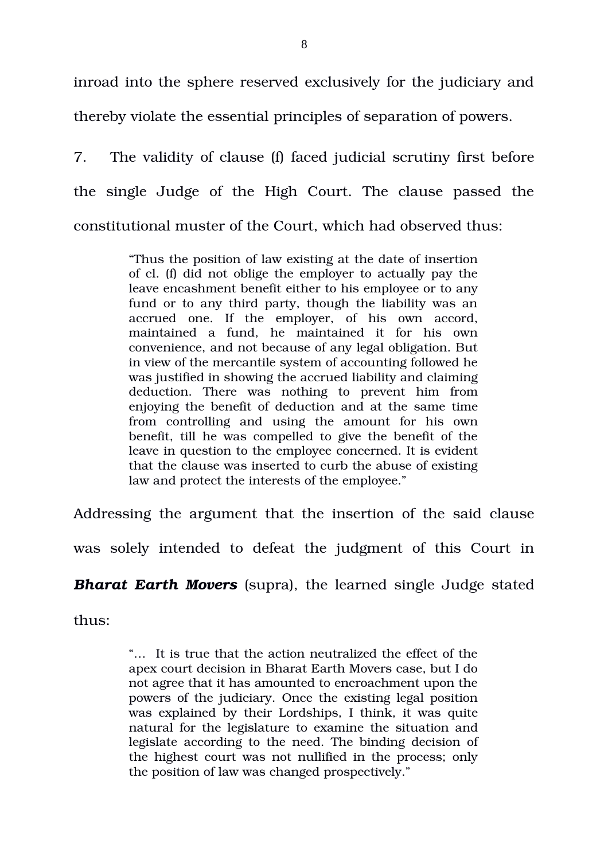inroad into the sphere reserved exclusively for the judiciary and thereby violate the essential principles of separation of powers.

7. The validity of clause (f) faced judicial scrutiny first before the single Judge of the High Court. The clause passed the constitutional muster of the Court, which had observed thus:

> "Thus the position of law existing at the date of insertion of cl. (f) did not oblige the employer to actually pay the leave encashment benefit either to his employee or to any fund or to any third party, though the liability was an accrued one. If the employer, of his own accord, maintained a fund, he maintained it for his own convenience, and not because of any legal obligation. But in view of the mercantile system of accounting followed he was justified in showing the accrued liability and claiming deduction. There was nothing to prevent him from enjoying the benefit of deduction and at the same time from controlling and using the amount for his own benefit, till he was compelled to give the benefit of the leave in question to the employee concerned. It is evident that the clause was inserted to curb the abuse of existing law and protect the interests of the employee."

Addressing the argument that the insertion of the said clause

was solely intended to defeat the judgment of this Court in

*Bharat Earth Movers (supra), the learned single Judge stated* 

thus:

"… It is true that the action neutralized the effect of the apex court decision in Bharat Earth Movers case, but I do not agree that it has amounted to encroachment upon the powers of the judiciary. Once the existing legal position was explained by their Lordships, I think, it was quite natural for the legislature to examine the situation and legislate according to the need. The binding decision of the highest court was not nullified in the process; only the position of law was changed prospectively."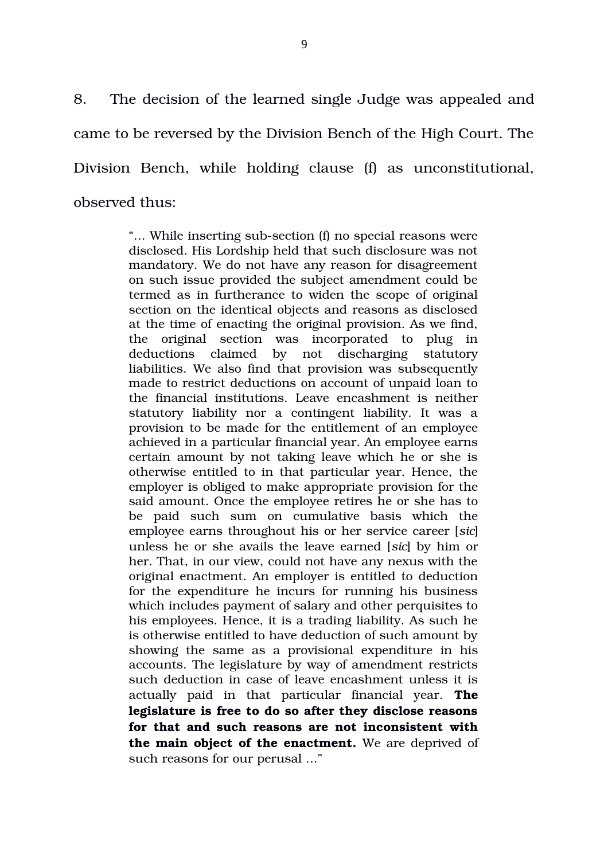8. The decision of the learned single Judge was appealed and came to be reversed by the Division Bench of the High Court. The Division Bench, while holding clause (f) as unconstitutional, observed thus:

> "... While inserting sub-section (f) no special reasons were disclosed. His Lordship held that such disclosure was not mandatory. We do not have any reason for disagreement on such issue provided the subject amendment could be termed as in furtherance to widen the scope of original section on the identical objects and reasons as disclosed at the time of enacting the original provision. As we find, the original section was incorporated to plug in deductions claimed by not discharging statutory liabilities. We also find that provision was subsequently made to restrict deductions on account of unpaid loan to the financial institutions. Leave encashment is neither statutory liability nor a contingent liability. It was a provision to be made for the entitlement of an employee achieved in a particular financial year. An employee earns certain amount by not taking leave which he or she is otherwise entitled to in that particular year. Hence, the employer is obliged to make appropriate provision for the said amount. Once the employee retires he or she has to be paid such sum on cumulative basis which the employee earns throughout his or her service career [*sic*] unless he or she avails the leave earned [*sic*] by him or her. That, in our view, could not have any nexus with the original enactment. An employer is entitled to deduction for the expenditure he incurs for running his business which includes payment of salary and other perquisites to his employees. Hence, it is a trading liability. As such he is otherwise entitled to have deduction of such amount by showing the same as a provisional expenditure in his accounts. The legislature by way of amendment restricts such deduction in case of leave encashment unless it is actually paid in that particular financial year. **The legislature is free to do so after they disclose reasons for that and such reasons are not inconsistent with the main object of the enactment.** We are deprived of such reasons for our perusal ..."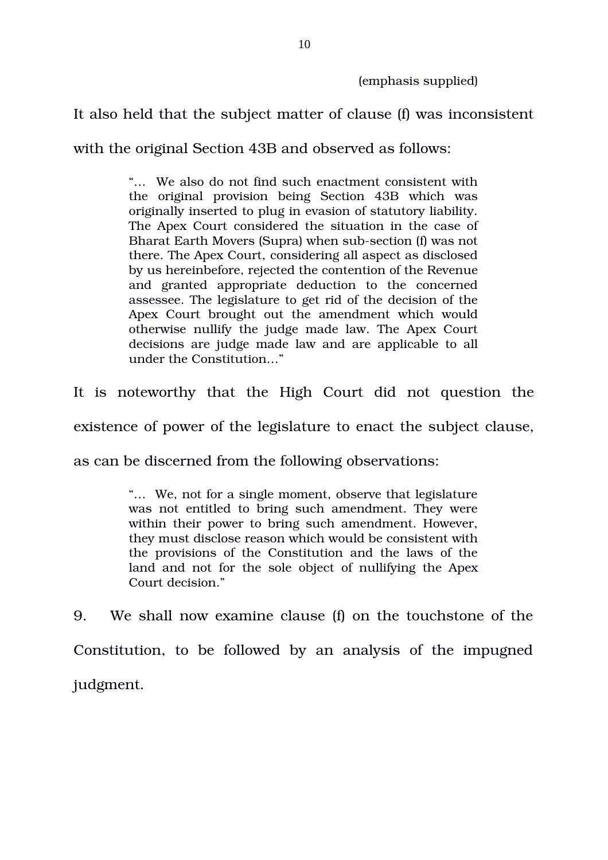(emphasis supplied)

It also held that the subject matter of clause (f) was inconsistent

with the original Section 43B and observed as follows:

"… We also do not find such enactment consistent with the original provision being Section 43B which was originally inserted to plug in evasion of statutory liability. The Apex Court considered the situation in the case of Bharat Earth Movers (Supra) when sub-section (f) was not there. The Apex Court, considering all aspect as disclosed by us hereinbefore, rejected the contention of the Revenue and granted appropriate deduction to the concerned assessee. The legislature to get rid of the decision of the Apex Court brought out the amendment which would otherwise nullify the judge made law. The Apex Court decisions are judge made law and are applicable to all under the Constitution…"

It is noteworthy that the High Court did not question the

existence of power of the legislature to enact the subject clause,

as can be discerned from the following observations:

"… We, not for a single moment, observe that legislature was not entitled to bring such amendment. They were within their power to bring such amendment. However, they must disclose reason which would be consistent with the provisions of the Constitution and the laws of the land and not for the sole object of nullifying the Apex Court decision."

9. We shall now examine clause (f) on the touchstone of the Constitution, to be followed by an analysis of the impugned judgment.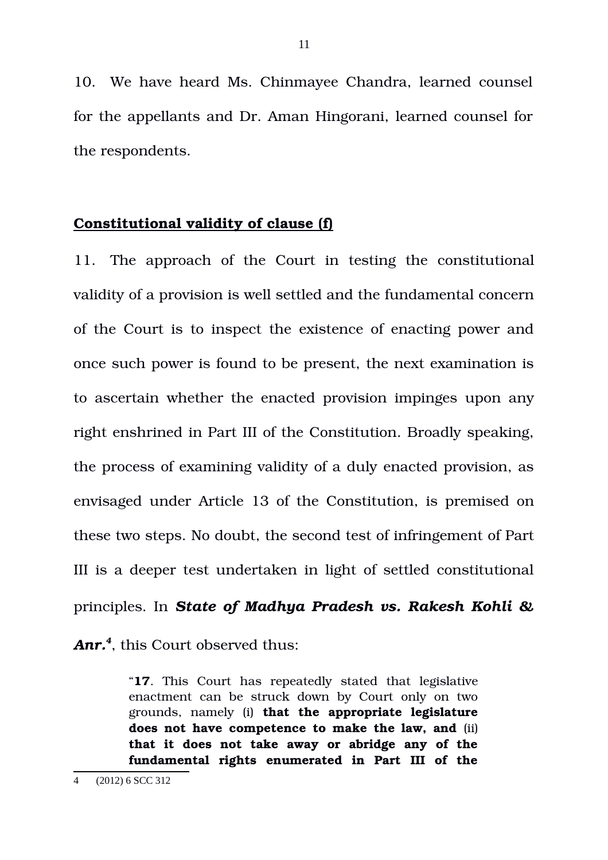10. We have heard Ms. Chinmayee Chandra, learned counsel for the appellants and Dr. Aman Hingorani, learned counsel for the respondents.

#### **Constitutional validity of clause (f)**

11. The approach of the Court in testing the constitutional validity of a provision is well settled and the fundamental concern of the Court is to inspect the existence of enacting power and once such power is found to be present, the next examination is to ascertain whether the enacted provision impinges upon any right enshrined in Part III of the Constitution. Broadly speaking, the process of examining validity of a duly enacted provision, as envisaged under Article 13 of the Constitution, is premised on these two steps. No doubt, the second test of infringement of Part III is a deeper test undertaken in light of settled constitutional principles. In *State of Madhya Pradesh vs. Rakesh Kohli &*

*Anr.[4](#page-10-0)* , this Court observed thus:

"**17**. This Court has repeatedly stated that legislative enactment can be struck down by Court only on two grounds, namely (i) **that the appropriate legislature does not have competence to make the law, and** (ii) **that it does not take away or abridge any of the fundamental rights enumerated in Part III of the**

<span id="page-10-0"></span><sup>4 (2012) 6</sup> SCC 312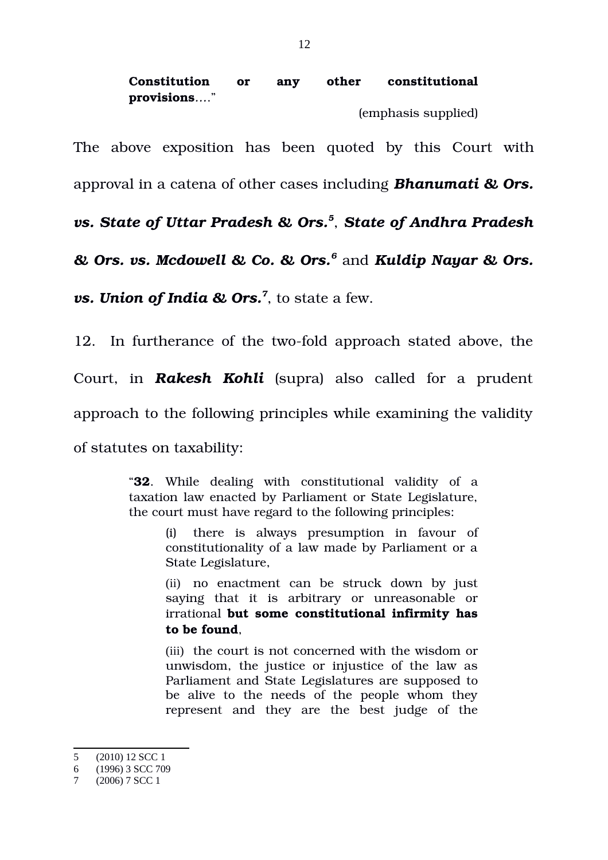# **Constitution or any other constitutional provisions***…*."

(emphasis supplied)

The above exposition has been quoted by this Court with

approval in a catena of other cases including *Bhanumati & Ors.*

*vs. State of Uttar Pradesh & Ors.[5](#page-11-0)* , *State of Andhra Pradesh*

*& Ors. vs. Mcdowell & Co. & Ors.[6](#page-11-1)* and *Kuldip Nayar & Ors.*

*vs. Union of India & Ors.[7](#page-11-2)* , to state a few.

12. In furtherance of the two-fold approach stated above, the

Court, in *Rakesh Kohli* (supra) also called for a prudent

approach to the following principles while examining the validity

of statutes on taxability:

"**32**. While dealing with constitutional validity of a taxation law enacted by Parliament or State Legislature, the court must have regard to the following principles:

> (i) there is always presumption in favour of constitutionality of a law made by Parliament or a State Legislature,

> (ii) no enactment can be struck down by just saying that it is arbitrary or unreasonable or irrational **but some constitutional infirmity has to be found**,

> (iii) the court is not concerned with the wisdom or unwisdom, the justice or injustice of the law as Parliament and State Legislatures are supposed to be alive to the needs of the people whom they represent and they are the best judge of the

<span id="page-11-0"></span><sup>5 (2010) 12</sup> SCC 1

<span id="page-11-1"></span><sup>6 (1996) 3</sup> SCC 709

<span id="page-11-2"></span><sup>7 (2006) 7</sup> SCC 1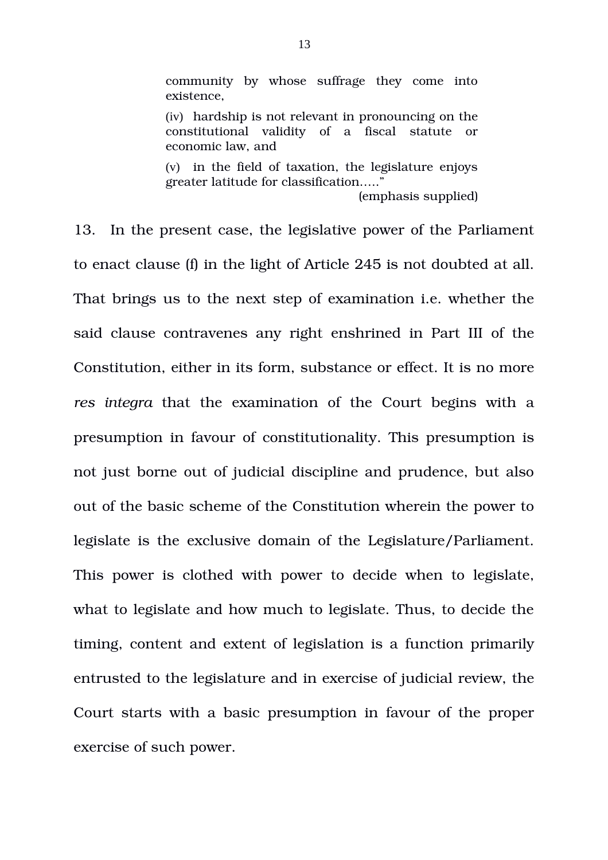community by whose suffrage they come into existence,

(iv) hardship is not relevant in pronouncing on the constitutional validity of a fiscal statute or economic law, and

(v) in the field of taxation, the legislature enjoys greater latitude for classification….." (emphasis supplied)

13. In the present case, the legislative power of the Parliament to enact clause (f) in the light of Article 245 is not doubted at all. That brings us to the next step of examination i.e. whether the said clause contravenes any right enshrined in Part III of the Constitution, either in its form, substance or effect. It is no more *res integra* that the examination of the Court begins with a presumption in favour of constitutionality. This presumption is not just borne out of judicial discipline and prudence, but also out of the basic scheme of the Constitution wherein the power to legislate is the exclusive domain of the Legislature/Parliament. This power is clothed with power to decide when to legislate, what to legislate and how much to legislate. Thus, to decide the timing, content and extent of legislation is a function primarily entrusted to the legislature and in exercise of judicial review, the Court starts with a basic presumption in favour of the proper exercise of such power.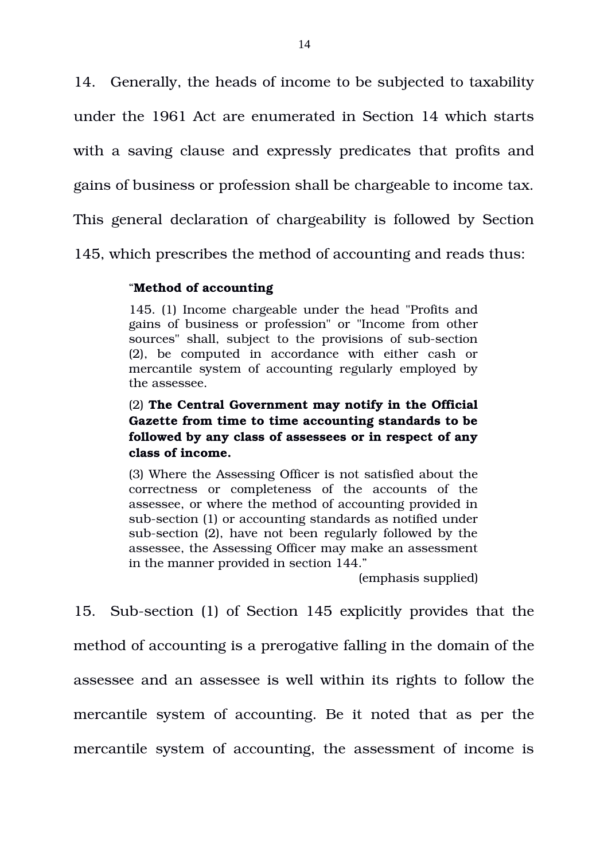14. Generally, the heads of income to be subjected to taxability under the 1961 Act are enumerated in Section 14 which starts with a saving clause and expressly predicates that profits and gains of business or profession shall be chargeable to income tax. This general declaration of chargeability is followed by Section 145, which prescribes the method of accounting and reads thus:

#### "**Method of accounting**

145. (1) Income chargeable under the head "Profits and gains of business or profession" or "Income from other sources" shall, subject to the provisions of sub-section (2), be computed in accordance with either cash or mercantile system of accounting regularly employed by the assessee.

### (2) **The Central Government may notify in the Official Gazette from time to time accounting standards to be followed by any class of assessees or in respect of any class of income.**

(3) Where the Assessing Officer is not satisfied about the correctness or completeness of the accounts of the assessee, or where the method of accounting provided in sub-section (1) or accounting standards as notified under sub-section (2), have not been regularly followed by the assessee, the Assessing Officer may make an assessment in the manner provided in section 144."

(emphasis supplied)

15. Sub-section (1) of Section 145 explicitly provides that the method of accounting is a prerogative falling in the domain of the assessee and an assessee is well within its rights to follow the mercantile system of accounting. Be it noted that as per the mercantile system of accounting, the assessment of income is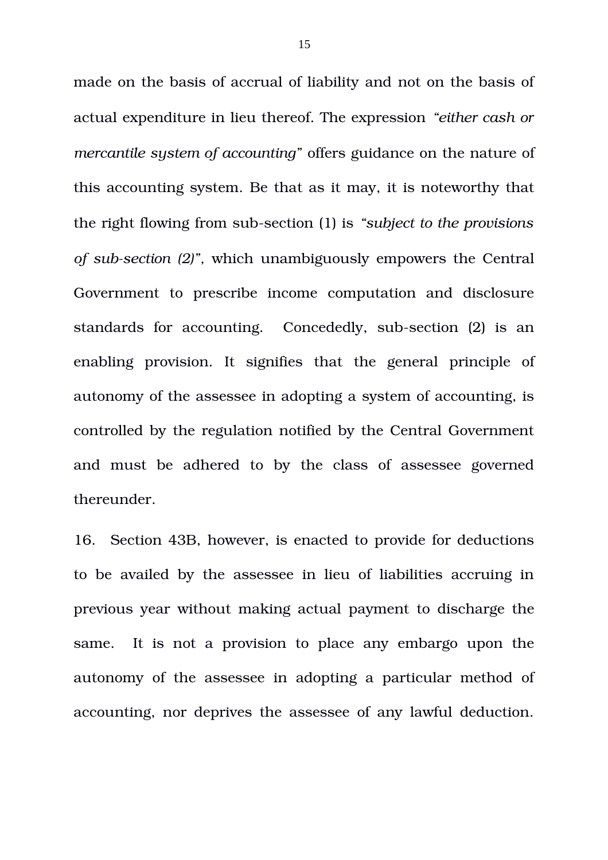made on the basis of accrual of liability and not on the basis of actual expenditure in lieu thereof. The expression *"either cash or mercantile system of accounting"* offers guidance on the nature of this accounting system. Be that as it may, it is noteworthy that the right flowing from sub-section (1) is *"subject to the provisions of subsection (2)",* which unambiguously empowers the Central Government to prescribe income computation and disclosure standards for accounting. Concededly, sub-section (2) is an enabling provision. It signifies that the general principle of autonomy of the assessee in adopting a system of accounting, is controlled by the regulation notified by the Central Government and must be adhered to by the class of assessee governed thereunder.

16. Section 43B, however, is enacted to provide for deductions to be availed by the assessee in lieu of liabilities accruing in previous year without making actual payment to discharge the same. It is not a provision to place any embargo upon the autonomy of the assessee in adopting a particular method of accounting, nor deprives the assessee of any lawful deduction.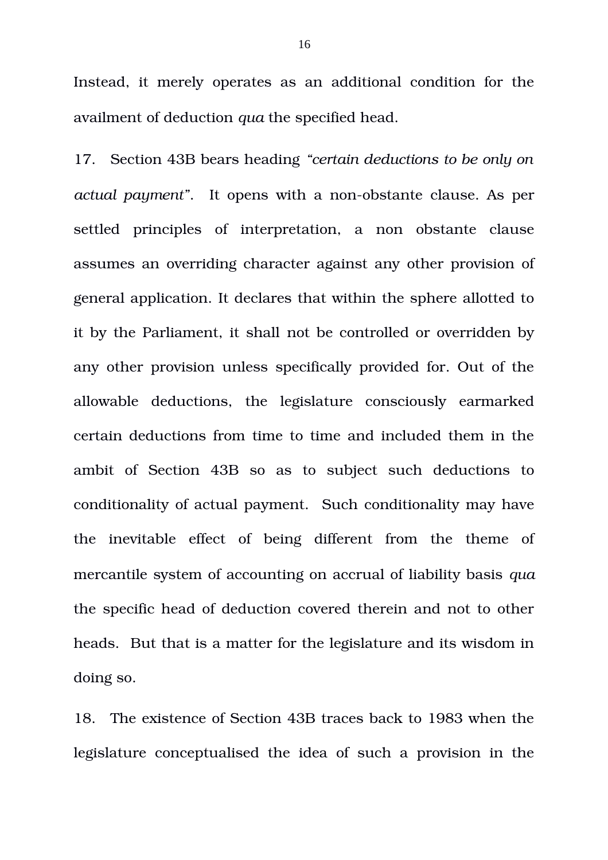Instead, it merely operates as an additional condition for the availment of deduction *qua* the specified head.

17. Section 43B bears heading *"certain deductions to be only on actual payment*". It opens with a non-obstante clause. As per settled principles of interpretation, a non obstante clause assumes an overriding character against any other provision of general application. It declares that within the sphere allotted to it by the Parliament, it shall not be controlled or overridden by any other provision unless specifically provided for. Out of the allowable deductions, the legislature consciously earmarked certain deductions from time to time and included them in the ambit of Section 43B so as to subject such deductions to conditionality of actual payment. Such conditionality may have the inevitable effect of being different from the theme of mercantile system of accounting on accrual of liability basis *qua* the specific head of deduction covered therein and not to other heads. But that is a matter for the legislature and its wisdom in doing so.

18. The existence of Section 43B traces back to 1983 when the legislature conceptualised the idea of such a provision in the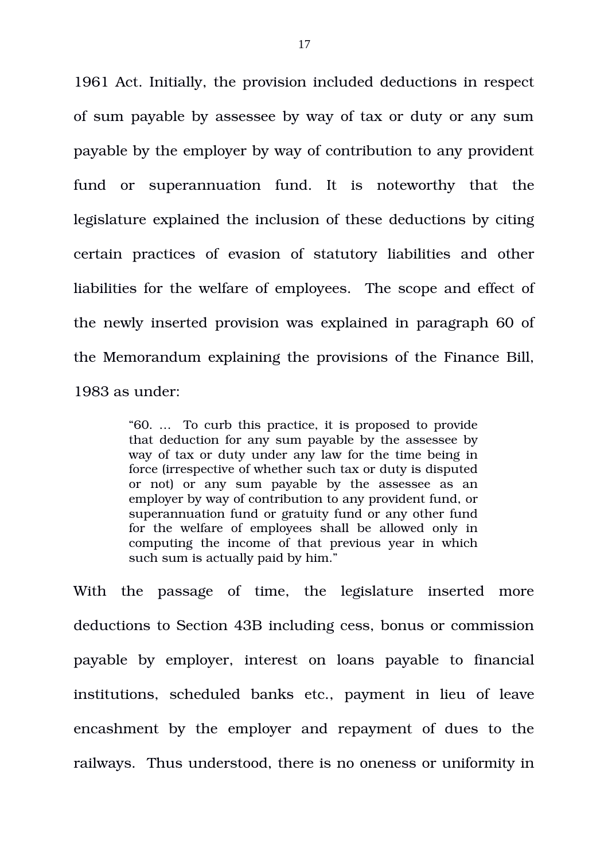1961 Act. Initially, the provision included deductions in respect of sum payable by assessee by way of tax or duty or any sum payable by the employer by way of contribution to any provident fund or superannuation fund. It is noteworthy that the legislature explained the inclusion of these deductions by citing certain practices of evasion of statutory liabilities and other liabilities for the welfare of employees. The scope and effect of the newly inserted provision was explained in paragraph 60 of the Memorandum explaining the provisions of the Finance Bill, 1983 as under:

> "60. … To curb this practice, it is proposed to provide that deduction for any sum payable by the assessee by way of tax or duty under any law for the time being in force (irrespective of whether such tax or duty is disputed or not) or any sum payable by the assessee as an employer by way of contribution to any provident fund, or superannuation fund or gratuity fund or any other fund for the welfare of employees shall be allowed only in computing the income of that previous year in which such sum is actually paid by him."

With the passage of time, the legislature inserted more deductions to Section 43B including cess, bonus or commission payable by employer, interest on loans payable to financial institutions, scheduled banks etc., payment in lieu of leave encashment by the employer and repayment of dues to the railways. Thus understood, there is no oneness or uniformity in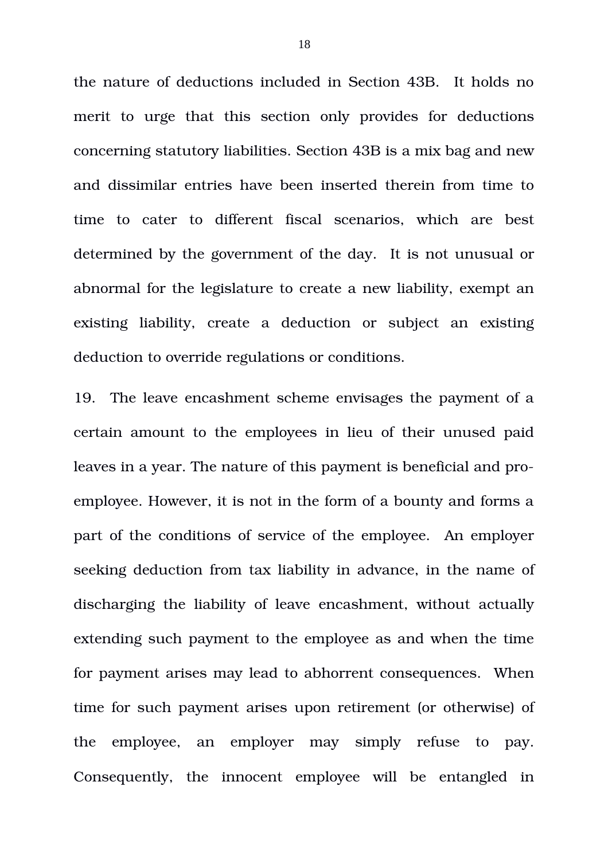the nature of deductions included in Section 43B. It holds no merit to urge that this section only provides for deductions concerning statutory liabilities. Section 43B is a mix bag and new and dissimilar entries have been inserted therein from time to time to cater to different fiscal scenarios, which are best determined by the government of the day. It is not unusual or abnormal for the legislature to create a new liability, exempt an existing liability, create a deduction or subject an existing deduction to override regulations or conditions.

19. The leave encashment scheme envisages the payment of a certain amount to the employees in lieu of their unused paid leaves in a year. The nature of this payment is beneficial and proemployee. However, it is not in the form of a bounty and forms a part of the conditions of service of the employee. An employer seeking deduction from tax liability in advance, in the name of discharging the liability of leave encashment, without actually extending such payment to the employee as and when the time for payment arises may lead to abhorrent consequences. When time for such payment arises upon retirement (or otherwise) of the employee, an employer may simply refuse to pay. Consequently, the innocent employee will be entangled in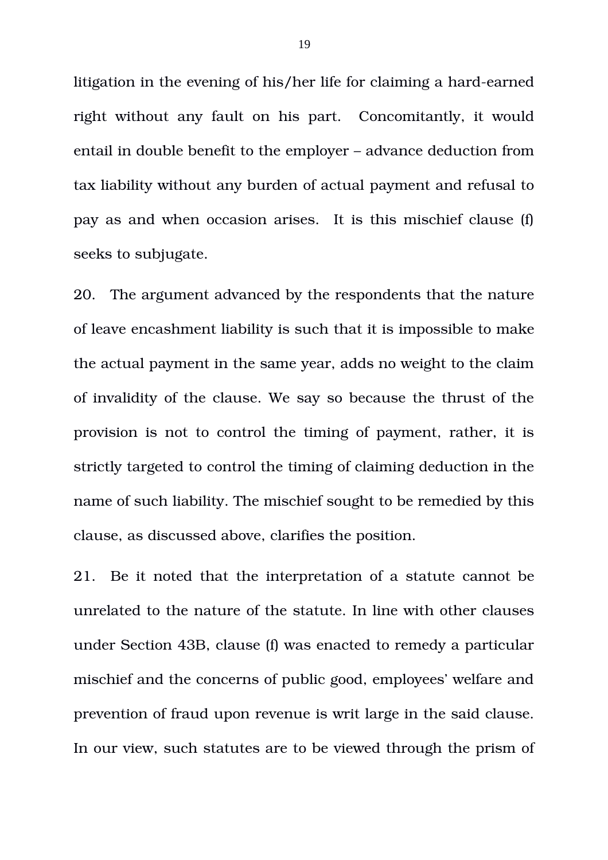litigation in the evening of his/her life for claiming a hard-earned right without any fault on his part. Concomitantly, it would entail in double benefit to the employer – advance deduction from tax liability without any burden of actual payment and refusal to pay as and when occasion arises. It is this mischief clause (f) seeks to subjugate.

20. The argument advanced by the respondents that the nature of leave encashment liability is such that it is impossible to make the actual payment in the same year, adds no weight to the claim of invalidity of the clause. We say so because the thrust of the provision is not to control the timing of payment, rather, it is strictly targeted to control the timing of claiming deduction in the name of such liability. The mischief sought to be remedied by this clause, as discussed above, clarifies the position.

21. Be it noted that the interpretation of a statute cannot be unrelated to the nature of the statute. In line with other clauses under Section 43B, clause (f) was enacted to remedy a particular mischief and the concerns of public good, employees' welfare and prevention of fraud upon revenue is writ large in the said clause. In our view, such statutes are to be viewed through the prism of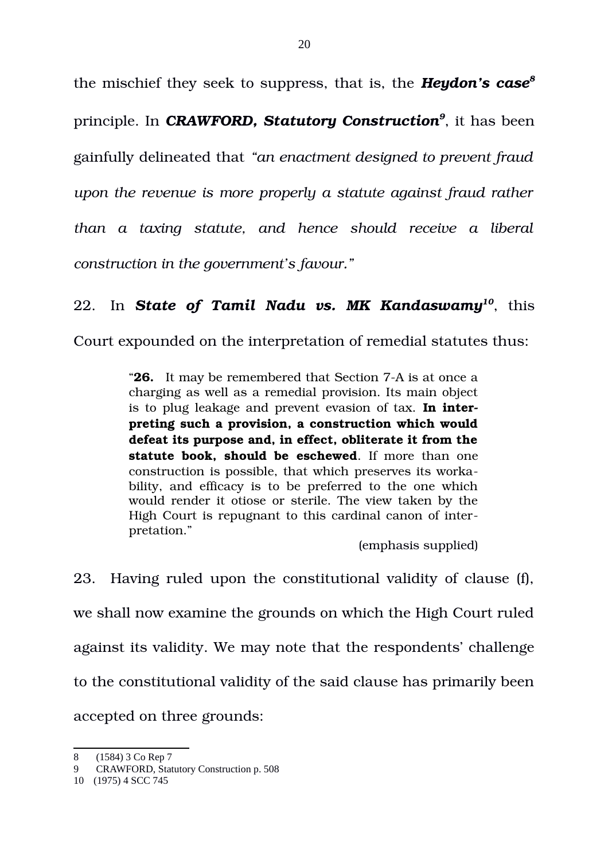the mischief they seek to suppress, that is, the *Heydon's case[8](#page-19-0)* principle. In *CRAWFORD, Statutory Construction[9](#page-19-1)* , it has been gainfully delineated that *"an enactment designed to prevent fraud upon the revenue is more properly a statute against fraud rather than a taxing statute, and hence should receive a liberal construction in the government's favour."*

## 22. In *State of Tamil Nadu vs. MK Kandaswamy[10](#page-19-2)*, this

Court expounded on the interpretation of remedial statutes thus:

"26. It may be remembered that Section 7-A is at once a charging as well as a remedial provision. Its main object is to plug leakage and prevent evasion of tax. **In interpreting such a provision, a construction which would defeat its purpose and, in effect, obliterate it from the statute book, should be eschewed.** If more than one construction is possible, that which preserves its workability, and efficacy is to be preferred to the one which would render it otiose or sterile. The view taken by the High Court is repugnant to this cardinal canon of interpretation."

(emphasis supplied)

23. Having ruled upon the constitutional validity of clause (f), we shall now examine the grounds on which the High Court ruled against its validity. We may note that the respondents' challenge to the constitutional validity of the said clause has primarily been accepted on three grounds:

<span id="page-19-0"></span><sup>8 (1584) 3</sup> Co Rep 7

<span id="page-19-1"></span><sup>9</sup> CRAWFORD, Statutory Construction p. 508

<span id="page-19-2"></span><sup>10 (1975) 4</sup> SCC 745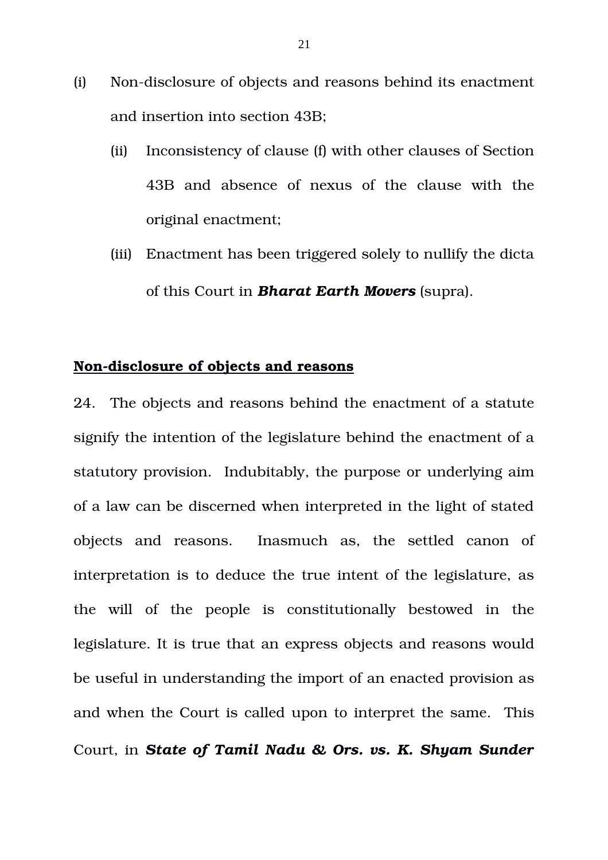- (i) Non-disclosure of objects and reasons behind its enactment and insertion into section 43B;
	- (ii) Inconsistency of clause (f) with other clauses of Section 43B and absence of nexus of the clause with the original enactment;
	- (iii) Enactment has been triggered solely to nullify the dicta of this Court in *Bharat Earth Movers* (supra).

## **Non-disclosure of objects and reasons**

24. The objects and reasons behind the enactment of a statute signify the intention of the legislature behind the enactment of a statutory provision. Indubitably, the purpose or underlying aim of a law can be discerned when interpreted in the light of stated objects and reasons. Inasmuch as, the settled canon of interpretation is to deduce the true intent of the legislature, as the will of the people is constitutionally bestowed in the legislature. It is true that an express objects and reasons would be useful in understanding the import of an enacted provision as and when the Court is called upon to interpret the same. This Court, in *State of Tamil Nadu & Ors. vs. K. Shyam Sunder*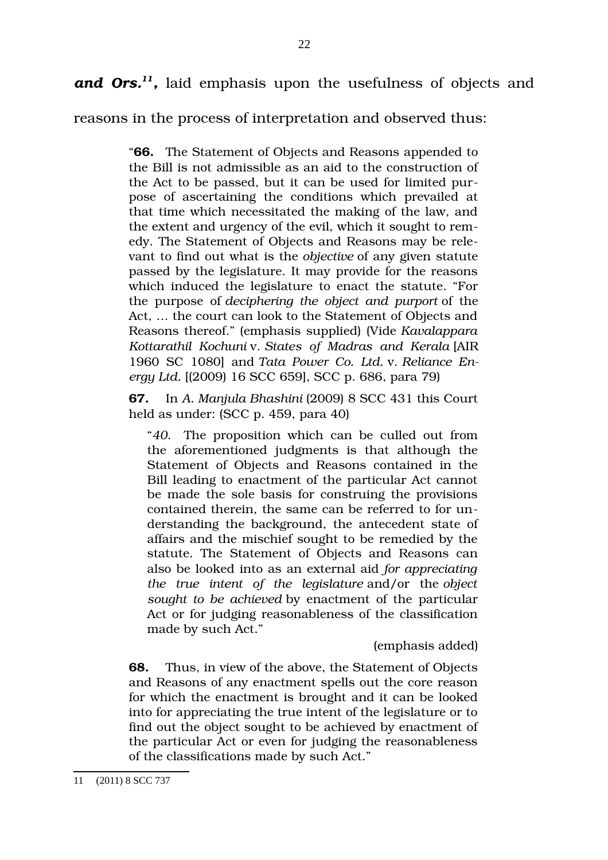and Ors.<sup>[11](#page-21-0)</sup>, laid emphasis upon the usefulness of objects and

22

reasons in the process of interpretation and observed thus:

"**66.** The Statement of Objects and Reasons appended to the Bill is not admissible as an aid to the construction of the Act to be passed, but it can be used for limited purpose of ascertaining the conditions which prevailed at that time which necessitated the making of the law, and the extent and urgency of the evil, which it sought to remedy. The Statement of Objects and Reasons may be relevant to find out what is the *objective* of any given statute passed by the legislature. It may provide for the reasons which induced the legislature to enact the statute. "For the purpose of *deciphering the object and purport* of the Act, … the court can look to the Statement of Objects and Reasons thereof." (emphasis supplied) (Vide *Kavalappara Kottarathil Kochuni* v. *States of Madras and Kerala* [AIR 1960 SC 1080] and *Tata Power Co. Ltd.* v. *Reliance Energy Ltd.* [(2009) 16 SCC 659], SCC p. 686, para 79)

**67.** In *A. Manjula Bhashini* (2009) 8 SCC 431 this Court held as under: (SCC p. 459, para 40)

"*40*. The proposition which can be culled out from the aforementioned judgments is that although the Statement of Objects and Reasons contained in the Bill leading to enactment of the particular Act cannot be made the sole basis for construing the provisions contained therein, the same can be referred to for understanding the background, the antecedent state of affairs and the mischief sought to be remedied by the statute. The Statement of Objects and Reasons can also be looked into as an external aid *for appreciating the true intent of the legislature* and/or the *object sought to be achieved* by enactment of the particular Act or for judging reasonableness of the classification made by such Act."

(emphasis added)

**68.** Thus, in view of the above, the Statement of Objects and Reasons of any enactment spells out the core reason for which the enactment is brought and it can be looked into for appreciating the true intent of the legislature or to find out the object sought to be achieved by enactment of the particular Act or even for judging the reasonableness of the classifications made by such Act."

<span id="page-21-0"></span><sup>11 (2011) 8</sup> SCC 737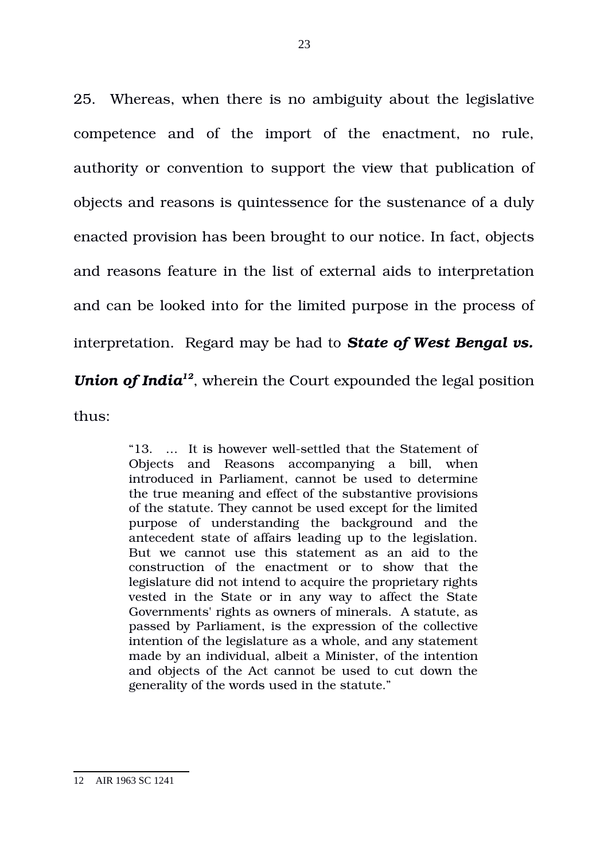25. Whereas, when there is no ambiguity about the legislative competence and of the import of the enactment, no rule, authority or convention to support the view that publication of objects and reasons is quintessence for the sustenance of a duly enacted provision has been brought to our notice. In fact, objects and reasons feature in the list of external aids to interpretation and can be looked into for the limited purpose in the process of interpretation. Regard may be had to *State of West Bengal vs. Union of India[12](#page-22-0)*, wherein the Court expounded the legal position thus:

> "13. ... It is however well-settled that the Statement of Objects and Reasons accompanying a bill, when introduced in Parliament, cannot be used to determine the true meaning and effect of the substantive provisions of the statute. They cannot be used except for the limited purpose of understanding the background and the antecedent state of affairs leading up to the legislation. But we cannot use this statement as an aid to the construction of the enactment or to show that the legislature did not intend to acquire the proprietary rights vested in the State or in any way to affect the State Governments' rights as owners of minerals. A statute, as passed by Parliament, is the expression of the collective intention of the legislature as a whole, and any statement made by an individual, albeit a Minister, of the intention and objects of the Act cannot be used to cut down the generality of the words used in the statute."

<span id="page-22-0"></span><sup>12</sup> AIR 1963 SC 1241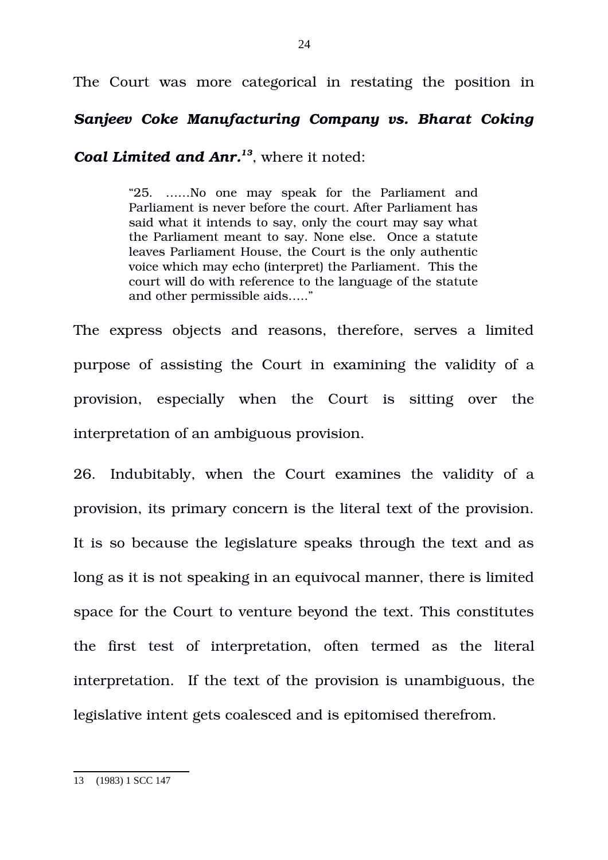The Court was more categorical in restating the position in

## *Sanjeev Coke Manufacturing Company vs. Bharat Coking*

*Coal Limited and Anr.[13](#page-23-0)*, where it noted:

"25. ……No one may speak for the Parliament and Parliament is never before the court. After Parliament has said what it intends to say, only the court may say what the Parliament meant to say. None else. Once a statute leaves Parliament House, the Court is the only authentic voice which may echo (interpret) the Parliament. This the court will do with reference to the language of the statute and other permissible aids….."

The express objects and reasons, therefore, serves a limited purpose of assisting the Court in examining the validity of a provision, especially when the Court is sitting over the interpretation of an ambiguous provision.

26. Indubitably, when the Court examines the validity of a provision, its primary concern is the literal text of the provision. It is so because the legislature speaks through the text and as long as it is not speaking in an equivocal manner, there is limited space for the Court to venture beyond the text. This constitutes the first test of interpretation, often termed as the literal interpretation. If the text of the provision is unambiguous, the legislative intent gets coalesced and is epitomised therefrom.

<span id="page-23-0"></span><sup>13 (1983) 1</sup> SCC 147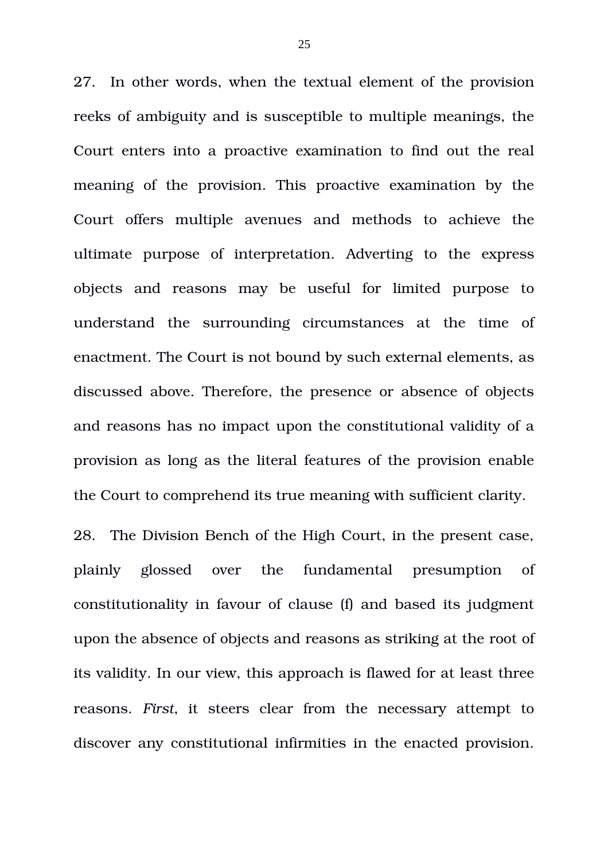27. In other words, when the textual element of the provision reeks of ambiguity and is susceptible to multiple meanings, the Court enters into a proactive examination to find out the real meaning of the provision. This proactive examination by the Court offers multiple avenues and methods to achieve the ultimate purpose of interpretation. Adverting to the express objects and reasons may be useful for limited purpose to understand the surrounding circumstances at the time of enactment. The Court is not bound by such external elements, as discussed above. Therefore, the presence or absence of objects and reasons has no impact upon the constitutional validity of a provision as long as the literal features of the provision enable the Court to comprehend its true meaning with sufficient clarity.

28. The Division Bench of the High Court, in the present case, plainly glossed over the fundamental presumption of constitutionality in favour of clause (f) and based its judgment upon the absence of objects and reasons as striking at the root of its validity. In our view, this approach is flawed for at least three reasons. First, it steers clear from the necessary attempt to discover any constitutional infirmities in the enacted provision.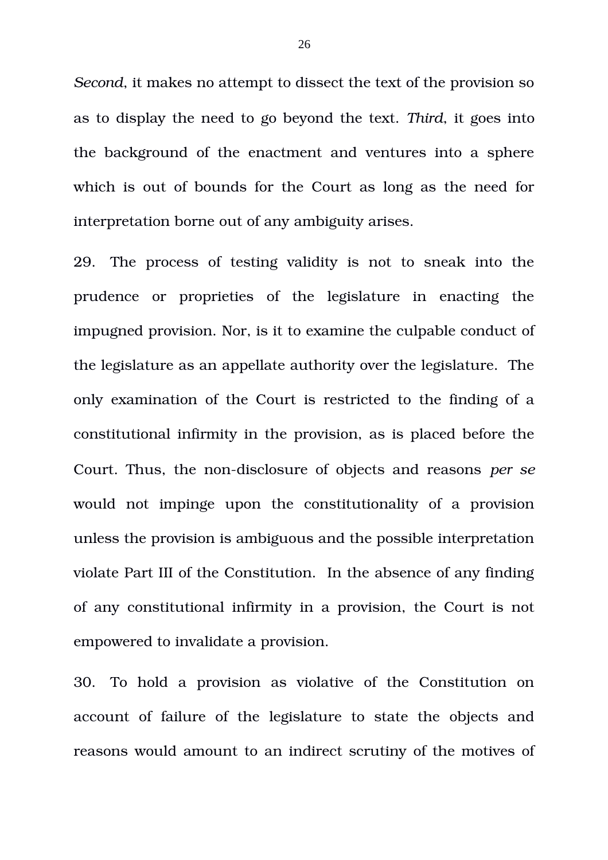*Second*, it makes no attempt to dissect the text of the provision so as to display the need to go beyond the text. *Third*, it goes into the background of the enactment and ventures into a sphere which is out of bounds for the Court as long as the need for interpretation borne out of any ambiguity arises.

29. The process of testing validity is not to sneak into the prudence or proprieties of the legislature in enacting the impugned provision. Nor, is it to examine the culpable conduct of the legislature as an appellate authority over the legislature. The only examination of the Court is restricted to the finding of a constitutional infirmity in the provision, as is placed before the Court. Thus, the non-disclosure of objects and reasons *per se* would not impinge upon the constitutionality of a provision unless the provision is ambiguous and the possible interpretation violate Part III of the Constitution. In the absence of any finding of any constitutional infirmity in a provision, the Court is not empowered to invalidate a provision.

30. To hold a provision as violative of the Constitution on account of failure of the legislature to state the objects and reasons would amount to an indirect scrutiny of the motives of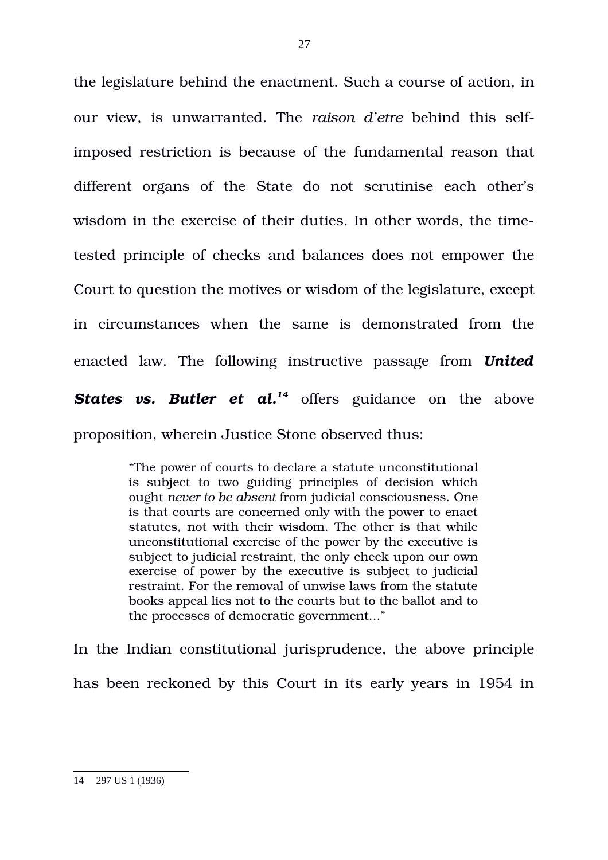the legislature behind the enactment. Such a course of action, in our view, is unwarranted. The *raison d'etre* behind this selfimposed restriction is because of the fundamental reason that different organs of the State do not scrutinise each other's wisdom in the exercise of their duties. In other words, the timetested principle of checks and balances does not empower the Court to question the motives or wisdom of the legislature, except in circumstances when the same is demonstrated from the enacted law. The following instructive passage from *United* **States vs. Butler et al.<sup>[14](#page-26-0)</sup>** offers guidance on the above proposition, wherein Justice Stone observed thus:

> "The power of courts to declare a statute unconstitutional is subject to two guiding principles of decision which ought *never to be absent* from judicial consciousness. One is that courts are concerned only with the power to enact statutes, not with their wisdom. The other is that while unconstitutional exercise of the power by the executive is subject to judicial restraint, the only check upon our own exercise of power by the executive is subject to judicial restraint. For the removal of unwise laws from the statute books appeal lies not to the courts but to the ballot and to the processes of democratic government..."

In the Indian constitutional jurisprudence, the above principle has been reckoned by this Court in its early years in 1954 in

<span id="page-26-0"></span><sup>14 297</sup> US 1 (1936)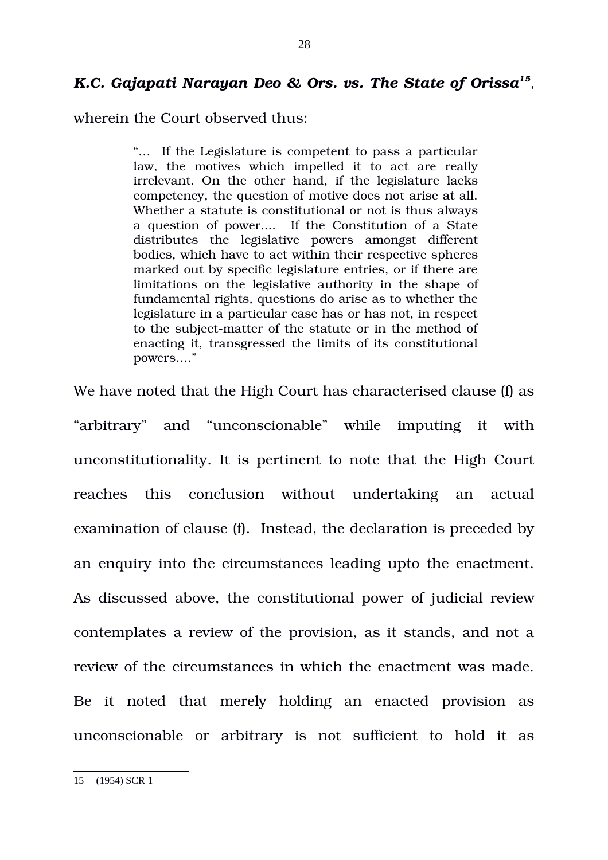## *K.C. Gajapati Narayan Deo & Ors. vs. The State of Orissa[15](#page-27-0)* ,

wherein the Court observed thus:

"… If the Legislature is competent to pass a particular law, the motives which impelled it to act are really irrelevant. On the other hand, if the legislature lacks competency, the question of motive does not arise at all. Whether a statute is constitutional or not is thus always a question of power.... If the Constitution of a State distributes the legislative powers amongst different bodies, which have to act within their respective spheres marked out by specific legislature entries, or if there are limitations on the legislative authority in the shape of fundamental rights, questions do arise as to whether the legislature in a particular case has or has not, in respect to the subject-matter of the statute or in the method of enacting it, transgressed the limits of its constitutional powers…."

We have noted that the High Court has characterised clause (f) as "arbitrary" and "unconscionable" while imputing it with unconstitutionality. It is pertinent to note that the High Court reaches this conclusion without undertaking an actual examination of clause (f). Instead, the declaration is preceded by an enquiry into the circumstances leading upto the enactment. As discussed above, the constitutional power of judicial review contemplates a review of the provision, as it stands, and not a review of the circumstances in which the enactment was made. Be it noted that merely holding an enacted provision as unconscionable or arbitrary is not sufficient to hold it as

<span id="page-27-0"></span><sup>15 (1954)</sup> SCR 1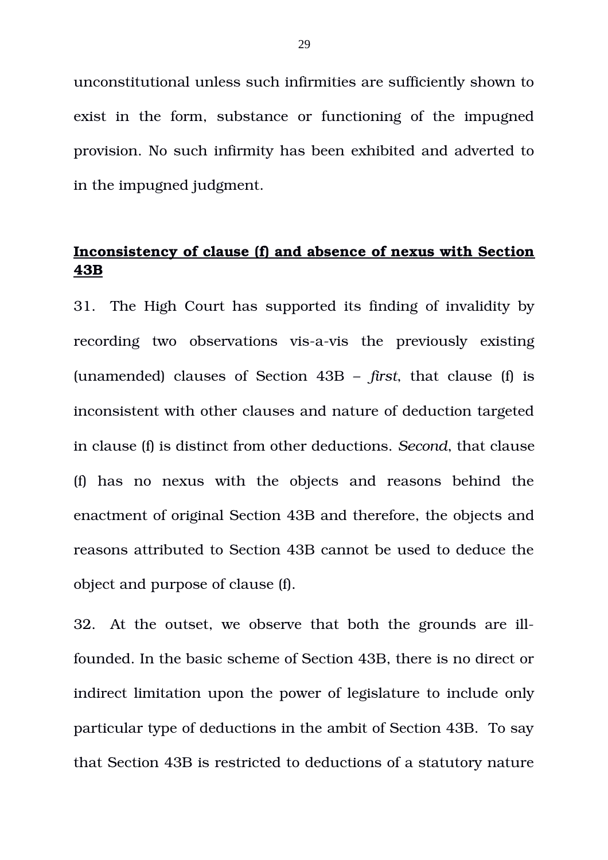unconstitutional unless such infirmities are sufficiently shown to exist in the form, substance or functioning of the impugned provision. No such infirmity has been exhibited and adverted to in the impugned judgment.

## **Inconsistency of clause (f) and absence of nexus with Section 43B**

31. The High Court has supported its finding of invalidity by recording two observations vis-a-vis the previously existing (unamended) clauses of Section 43B – *first*, that clause (f) is inconsistent with other clauses and nature of deduction targeted in clause (f) is distinct from other deductions. *Second*, that clause (f) has no nexus with the objects and reasons behind the enactment of original Section 43B and therefore, the objects and reasons attributed to Section 43B cannot be used to deduce the object and purpose of clause (f).

32. At the outset, we observe that both the grounds are illfounded. In the basic scheme of Section 43B, there is no direct or indirect limitation upon the power of legislature to include only particular type of deductions in the ambit of Section 43B. To say that Section 43B is restricted to deductions of a statutory nature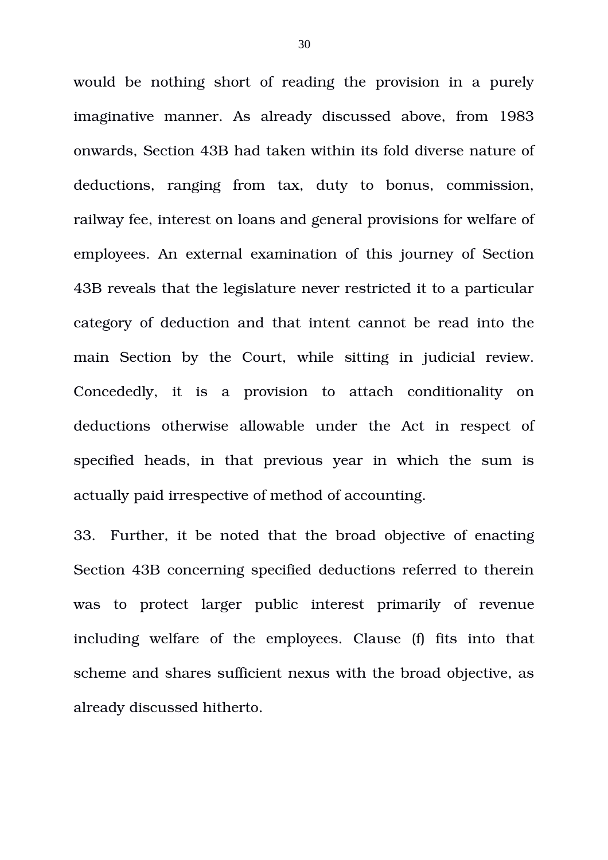would be nothing short of reading the provision in a purely imaginative manner. As already discussed above, from 1983 onwards, Section 43B had taken within its fold diverse nature of deductions, ranging from tax, duty to bonus, commission, railway fee, interest on loans and general provisions for welfare of employees. An external examination of this journey of Section 43B reveals that the legislature never restricted it to a particular category of deduction and that intent cannot be read into the main Section by the Court, while sitting in judicial review. Concededly, it is a provision to attach conditionality on deductions otherwise allowable under the Act in respect of specified heads, in that previous year in which the sum is actually paid irrespective of method of accounting.

33. Further, it be noted that the broad objective of enacting Section 43B concerning specified deductions referred to therein was to protect larger public interest primarily of revenue including welfare of the employees. Clause (f) fits into that scheme and shares sufficient nexus with the broad objective, as already discussed hitherto.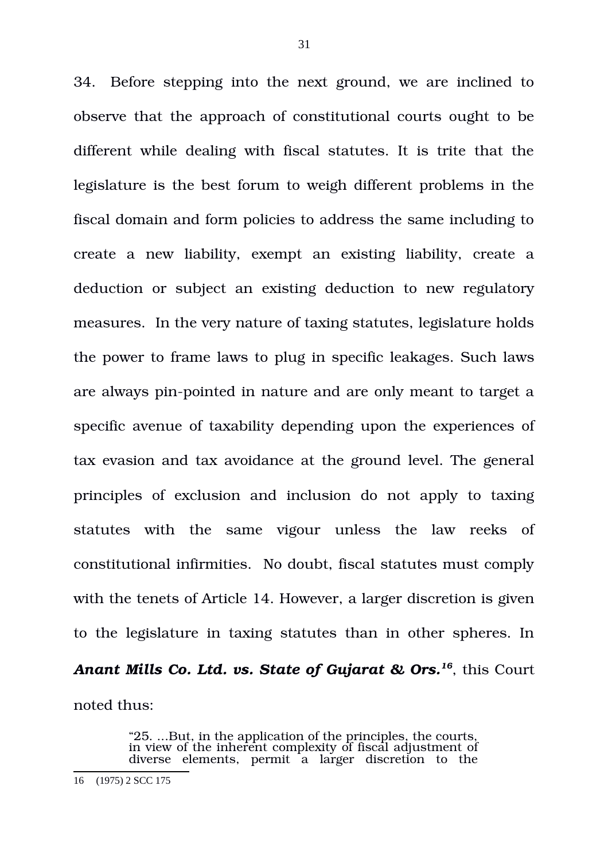34. Before stepping into the next ground, we are inclined to observe that the approach of constitutional courts ought to be different while dealing with fiscal statutes. It is trite that the legislature is the best forum to weigh different problems in the fiscal domain and form policies to address the same including to create a new liability, exempt an existing liability, create a deduction or subject an existing deduction to new regulatory measures. In the very nature of taxing statutes, legislature holds the power to frame laws to plug in specific leakages. Such laws are always pin-pointed in nature and are only meant to target a specific avenue of taxability depending upon the experiences of tax evasion and tax avoidance at the ground level. The general principles of exclusion and inclusion do not apply to taxing statutes with the same vigour unless the law reeks of constitutional infirmities. No doubt, fiscal statutes must comply with the tenets of Article 14. However, a larger discretion is given to the legislature in taxing statutes than in other spheres. In *Anant Mills Co. Ltd. vs. State of Gujarat & Ors.[16](#page-30-0)*, this Court noted thus:

> "25. ...But, in the application of the principles, the courts, in view of the inherent complexity of fiscal adjustment of diverse elements, permit a larger discretion to the

<span id="page-30-0"></span><sup>16 (1975) 2</sup> SCC 175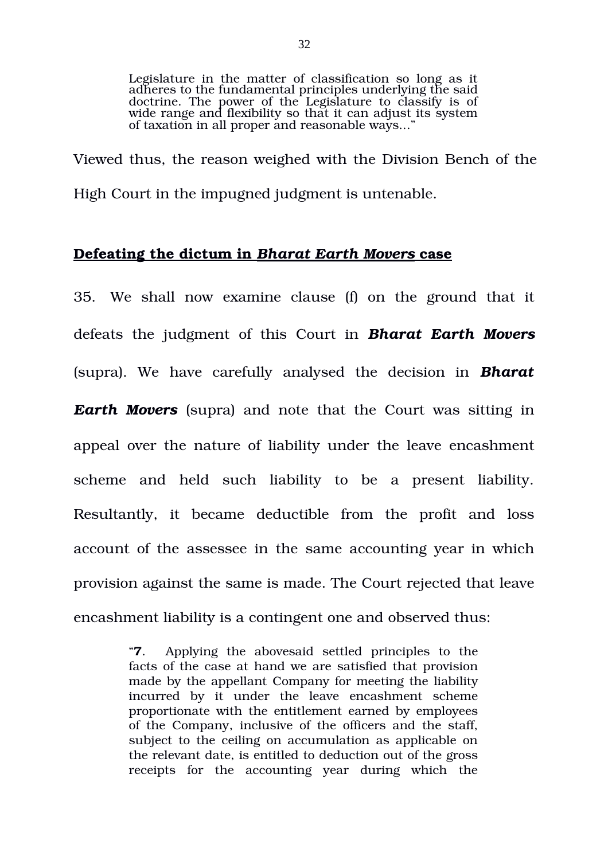Legislature in the matter of classification so long as it adheres to the fundamental principles underlying the said doctrine. The power of the Legislature to classify is of wide range and flexibility so that it can adjust its system of taxation in all proper and reasonable ways...'

Viewed thus, the reason weighed with the Division Bench of the High Court in the impugned judgment is untenable.

### **Defeating the dictum in**  *Bharat Earth Movers* **case**

35. We shall now examine clause (f) on the ground that it defeats the judgment of this Court in *Bharat Earth Movers* (supra). We have carefully analysed the decision in *Bharat Earth Movers* (supra) and note that the Court was sitting in appeal over the nature of liability under the leave encashment scheme and held such liability to be a present liability. Resultantly, it became deductible from the profit and loss account of the assessee in the same accounting year in which provision against the same is made. The Court rejected that leave encashment liability is a contingent one and observed thus:

> "**7**. Applying the abovesaid settled principles to the facts of the case at hand we are satisfied that provision made by the appellant Company for meeting the liability incurred by it under the leave encashment scheme proportionate with the entitlement earned by employees of the Company, inclusive of the officers and the staff, subject to the ceiling on accumulation as applicable on the relevant date, is entitled to deduction out of the gross receipts for the accounting year during which the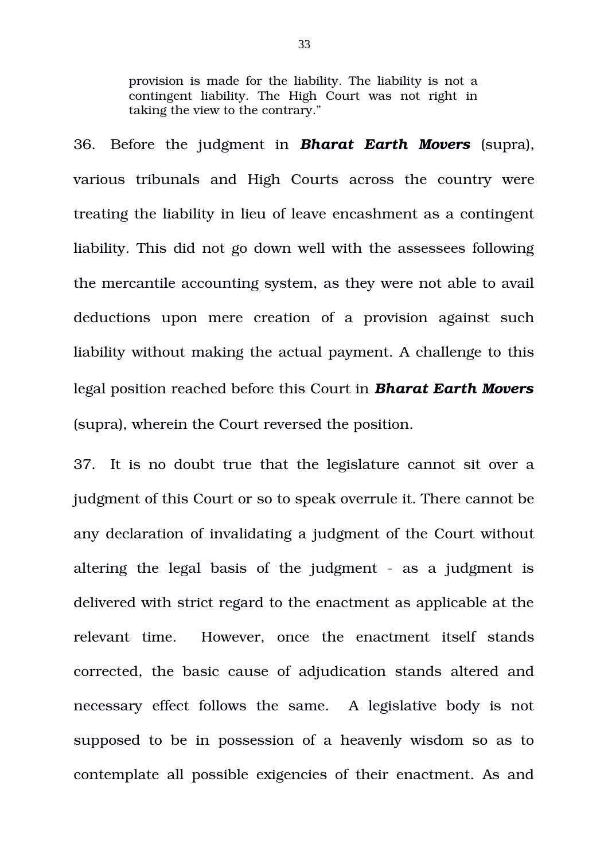provision is made for the liability. The liability is not a contingent liability. The High Court was not right in taking the view to the contrary."

36. Before the judgment in *Bharat Earth Movers* (supra), various tribunals and High Courts across the country were treating the liability in lieu of leave encashment as a contingent liability. This did not go down well with the assessees following the mercantile accounting system, as they were not able to avail deductions upon mere creation of a provision against such liability without making the actual payment. A challenge to this legal position reached before this Court in *Bharat Earth Movers* (supra), wherein the Court reversed the position.

37. It is no doubt true that the legislature cannot sit over a judgment of this Court or so to speak overrule it. There cannot be any declaration of invalidating a judgment of the Court without altering the legal basis of the judgment  $-$  as a judgment is delivered with strict regard to the enactment as applicable at the relevant time. However, once the enactment itself stands corrected, the basic cause of adjudication stands altered and necessary effect follows the same. A legislative body is not supposed to be in possession of a heavenly wisdom so as to contemplate all possible exigencies of their enactment. As and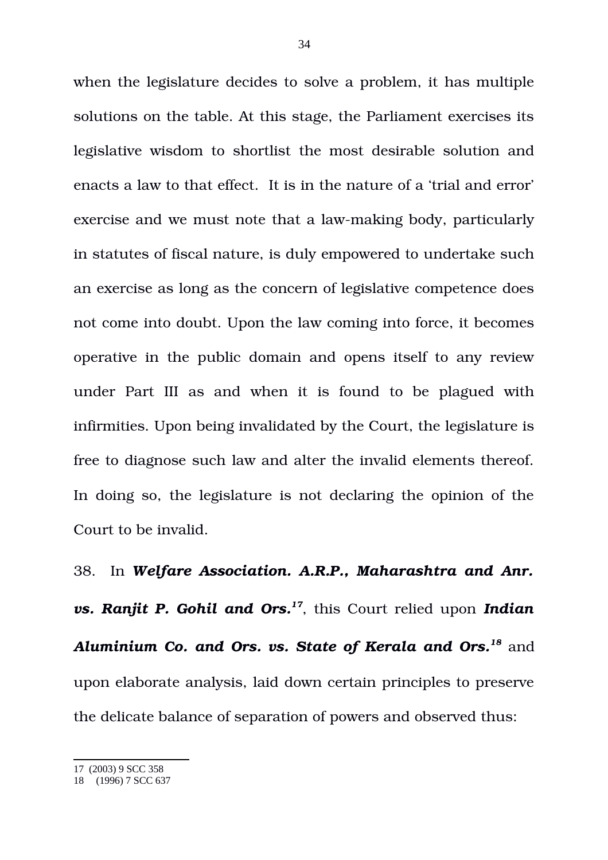when the legislature decides to solve a problem, it has multiple solutions on the table. At this stage, the Parliament exercises its legislative wisdom to shortlist the most desirable solution and enacts a law to that effect. It is in the nature of a 'trial and error' exercise and we must note that a law-making body, particularly in statutes of fiscal nature, is duly empowered to undertake such an exercise as long as the concern of legislative competence does not come into doubt. Upon the law coming into force, it becomes operative in the public domain and opens itself to any review under Part III as and when it is found to be plagued with infirmities. Upon being invalidated by the Court, the legislature is free to diagnose such law and alter the invalid elements thereof. In doing so, the legislature is not declaring the opinion of the Court to be invalid.

38. In *Welfare Association. A.R.P., Maharashtra and Anr. vs. Ranjit P. Gohil and Ors.[17](#page-33-0)*, this Court relied upon *Indian Aluminium Co. and Ors. vs. State of Kerala and Ors.[18](#page-33-1)* and upon elaborate analysis, laid down certain principles to preserve the delicate balance of separation of powers and observed thus:

<span id="page-33-0"></span><sup>17 (2003) 9</sup> SCC 358

<span id="page-33-1"></span><sup>18 (1996) 7</sup> SCC 637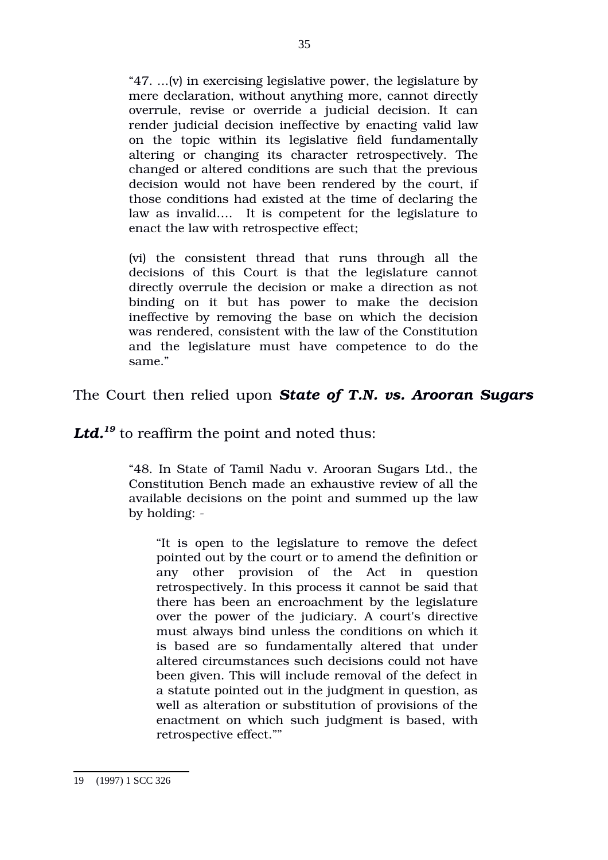"47. ...(v) in exercising legislative power, the legislature by mere declaration, without anything more, cannot directly overrule, revise or override a judicial decision. It can render judicial decision ineffective by enacting valid law on the topic within its legislative field fundamentally altering or changing its character retrospectively. The changed or altered conditions are such that the previous decision would not have been rendered by the court, if those conditions had existed at the time of declaring the law as invalid…. It is competent for the legislature to enact the law with retrospective effect;

(vi) the consistent thread that runs through all the decisions of this Court is that the legislature cannot directly overrule the decision or make a direction as not binding on it but has power to make the decision ineffective by removing the base on which the decision was rendered, consistent with the law of the Constitution and the legislature must have competence to do the same."

### The Court then relied upon *State of T.N. vs. Arooran Sugars*

*Ltd.[19](#page-34-0)* to reaffirm the point and noted thus:

"48. In State of Tamil Nadu v. Arooran Sugars Ltd., the Constitution Bench made an exhaustive review of all the available decisions on the point and summed up the law by holding:

"It is open to the legislature to remove the defect pointed out by the court or to amend the definition or any other provision of the Act in question retrospectively. In this process it cannot be said that there has been an encroachment by the legislature over the power of the judiciary. A court's directive must always bind unless the conditions on which it is based are so fundamentally altered that under altered circumstances such decisions could not have been given. This will include removal of the defect in a statute pointed out in the judgment in question, as well as alteration or substitution of provisions of the enactment on which such judgment is based, with retrospective effect.""

<span id="page-34-0"></span><sup>19 (1997) 1</sup> SCC 326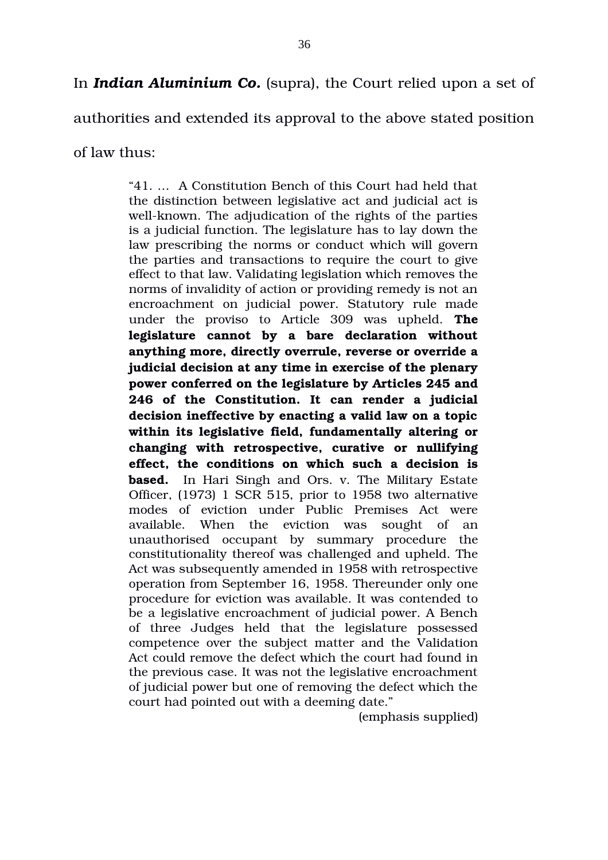authorities and extended its approval to the above stated position

of law thus:

"41. … A Constitution Bench of this Court had held that the distinction between legislative act and judicial act is well-known. The adjudication of the rights of the parties is a judicial function. The legislature has to lay down the law prescribing the norms or conduct which will govern the parties and transactions to require the court to give effect to that law. Validating legislation which removes the norms of invalidity of action or providing remedy is not an encroachment on judicial power. Statutory rule made under the proviso to Article 309 was upheld. **The legislature cannot by a bare declaration without anything more, directly overrule, reverse or override a judicial decision at any time in exercise of the plenary power conferred on the legislature by Articles 245 and 246 of the Constitution. It can render a judicial decision ineffective by enacting a valid law on a topic within its legislative field, fundamentally altering or changing with retrospective, curative or nullifying** effect, the conditions on which such a decision is **based.** In Hari Singh and Ors. v. The Military Estate Officer, (1973) 1 SCR 515, prior to 1958 two alternative modes of eviction under Public Premises Act were available. When the eviction was sought of an unauthorised occupant by summary procedure the constitutionality thereof was challenged and upheld. The Act was subsequently amended in 1958 with retrospective operation from September 16, 1958. Thereunder only one procedure for eviction was available. It was contended to be a legislative encroachment of judicial power. A Bench of three Judges held that the legislature possessed competence over the subject matter and the Validation Act could remove the defect which the court had found in the previous case. It was not the legislative encroachment of judicial power but one of removing the defect which the court had pointed out with a deeming date."

(emphasis supplied)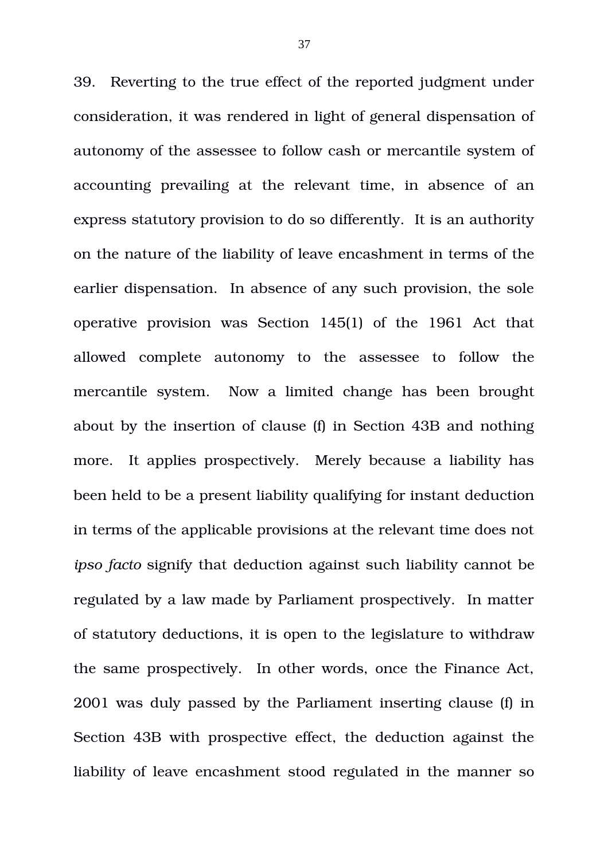39. Reverting to the true effect of the reported judgment under consideration, it was rendered in light of general dispensation of autonomy of the assessee to follow cash or mercantile system of accounting prevailing at the relevant time, in absence of an express statutory provision to do so differently. It is an authority on the nature of the liability of leave encashment in terms of the earlier dispensation. In absence of any such provision, the sole operative provision was Section 145(1) of the 1961 Act that allowed complete autonomy to the assessee to follow the mercantile system. Now a limited change has been brought about by the insertion of clause (f) in Section 43B and nothing more. It applies prospectively. Merely because a liability has been held to be a present liability qualifying for instant deduction in terms of the applicable provisions at the relevant time does not *ipso facto* signify that deduction against such liability cannot be regulated by a law made by Parliament prospectively. In matter of statutory deductions, it is open to the legislature to withdraw the same prospectively. In other words, once the Finance Act, 2001 was duly passed by the Parliament inserting clause (f) in Section 43B with prospective effect, the deduction against the liability of leave encashment stood regulated in the manner so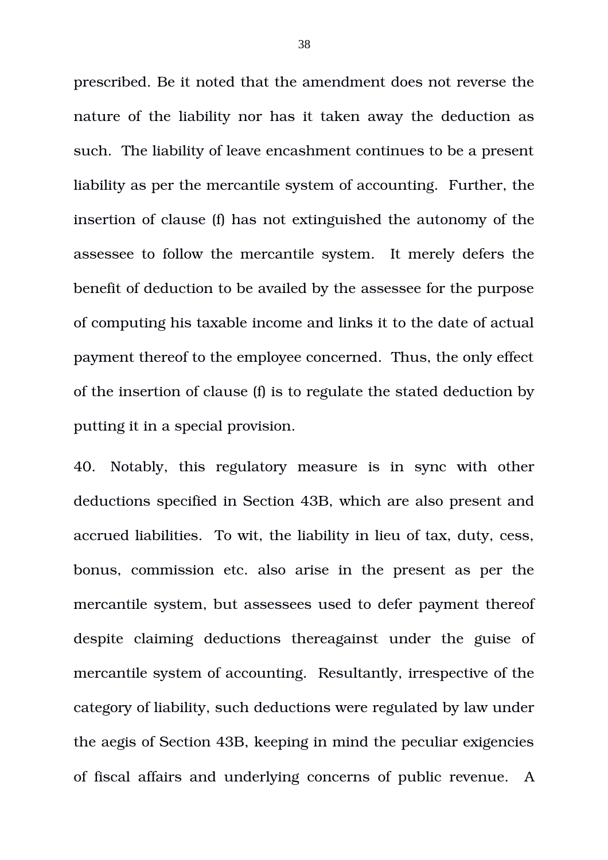prescribed. Be it noted that the amendment does not reverse the nature of the liability nor has it taken away the deduction as such. The liability of leave encashment continues to be a present liability as per the mercantile system of accounting. Further, the insertion of clause (f) has not extinguished the autonomy of the assessee to follow the mercantile system. It merely defers the benefit of deduction to be availed by the assessee for the purpose of computing his taxable income and links it to the date of actual payment thereof to the employee concerned. Thus, the only effect of the insertion of clause (f) is to regulate the stated deduction by putting it in a special provision.

40. Notably, this regulatory measure is in sync with other deductions specified in Section 43B, which are also present and accrued liabilities. To wit, the liability in lieu of tax, duty, cess, bonus, commission etc. also arise in the present as per the mercantile system, but assessees used to defer payment thereof despite claiming deductions thereagainst under the guise of mercantile system of accounting. Resultantly, irrespective of the category of liability, such deductions were regulated by law under the aegis of Section 43B, keeping in mind the peculiar exigencies of fiscal affairs and underlying concerns of public revenue. A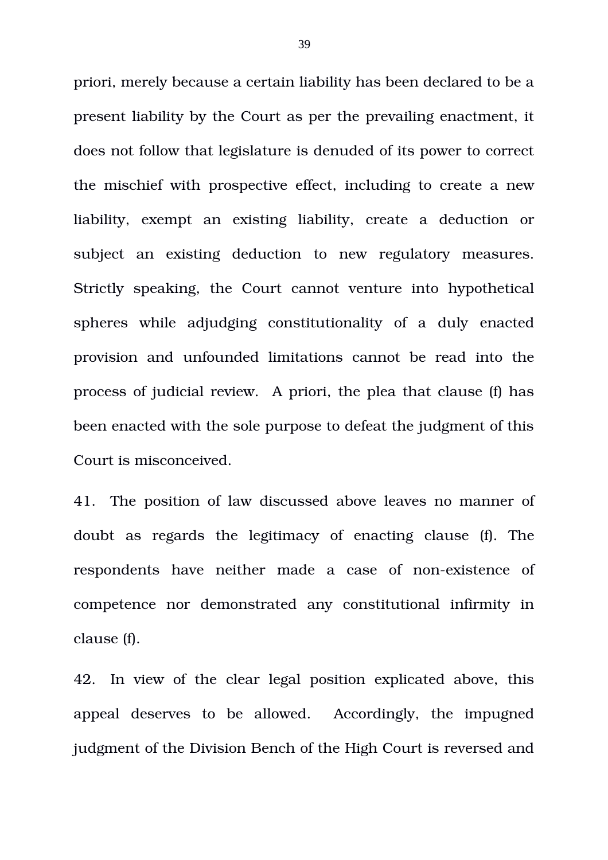priori, merely because a certain liability has been declared to be a present liability by the Court as per the prevailing enactment, it does not follow that legislature is denuded of its power to correct the mischief with prospective effect, including to create a new liability, exempt an existing liability, create a deduction or subject an existing deduction to new regulatory measures. Strictly speaking, the Court cannot venture into hypothetical spheres while adjudging constitutionality of a duly enacted provision and unfounded limitations cannot be read into the process of judicial review. A priori, the plea that clause (f) has been enacted with the sole purpose to defeat the judgment of this Court is misconceived.

41. The position of law discussed above leaves no manner of doubt as regards the legitimacy of enacting clause (f). The respondents have neither made a case of non-existence of competence nor demonstrated any constitutional infirmity in clause (f).

42. In view of the clear legal position explicated above, this appeal deserves to be allowed. Accordingly, the impugned judgment of the Division Bench of the High Court is reversed and